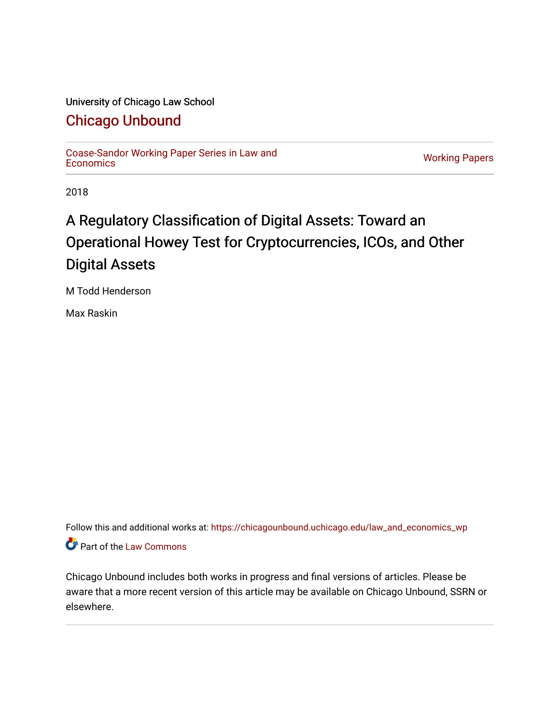# University of Chicago Law School

# [Chicago Unbound](https://chicagounbound.uchicago.edu/)

[Coase-Sandor Working Paper Series in Law and](https://chicagounbound.uchicago.edu/law_and_economics_wp) [Economics](https://chicagounbound.uchicago.edu/law_and_economics_wp) [Working Papers](https://chicagounbound.uchicago.edu/working_papers) 

2018

# A Regulatory Classification of Digital Assets: Toward an Operational Howey Test for Cryptocurrencies, ICOs, and Other Digital Assets

M Todd Henderson

Max Raskin

Follow this and additional works at: [https://chicagounbound.uchicago.edu/law\\_and\\_economics\\_wp](https://chicagounbound.uchicago.edu/law_and_economics_wp?utm_source=chicagounbound.uchicago.edu%2Flaw_and_economics_wp%2F71&utm_medium=PDF&utm_campaign=PDFCoverPages)  Part of the [Law Commons](http://network.bepress.com/hgg/discipline/578?utm_source=chicagounbound.uchicago.edu%2Flaw_and_economics_wp%2F71&utm_medium=PDF&utm_campaign=PDFCoverPages)

Chicago Unbound includes both works in progress and final versions of articles. Please be aware that a more recent version of this article may be available on Chicago Unbound, SSRN or elsewhere.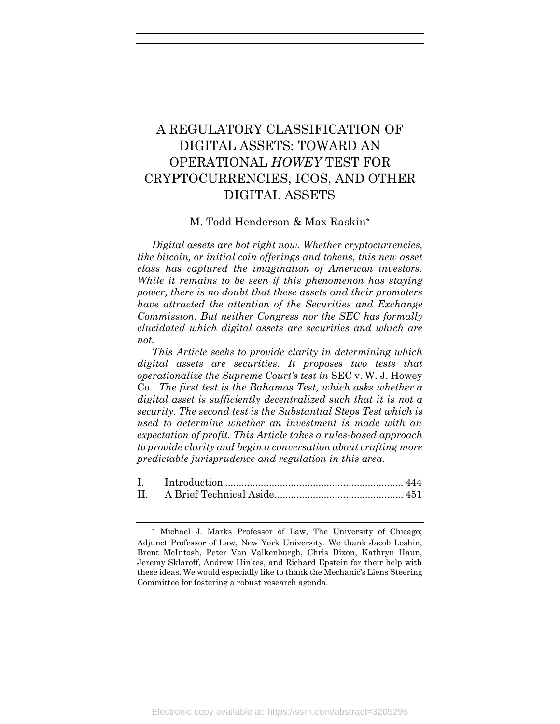# A REGULATORY CLASSIFICATION OF DIGITAL ASSETS: TOWARD AN OPERATIONAL *HOWEY* TEST FOR CRYPTOCURRENCIES, ICOS, AND OTHER DIGITAL ASSETS

# M. Todd Henderson & Max Raskin\*

*Digital assets are hot right now. Whether cryptocurrencies, like bitcoin, or initial coin offerings and tokens, this new asset class has captured the imagination of American investors. While it remains to be seen if this phenomenon has staying power, there is no doubt that these assets and their promoters have attracted the attention of the Securities and Exchange Commission. But neither Congress nor the SEC has formally elucidated which digital assets are securities and which are not.* 

*This Article seeks to provide clarity in determining which digital assets are securities. It proposes two tests that operationalize the Supreme Court's test in* SEC v. W. J. Howey Co. *The first test is the Bahamas Test, which asks whether a digital asset is sufficiently decentralized such that it is not a security. The second test is the Substantial Steps Test which is used to determine whether an investment is made with an expectation of profit. This Article takes a rules-based approach to provide clarity and begin a conversation about crafting more predictable jurisprudence and regulation in this area.* 

<sup>\*</sup> Michael J. Marks Professor of Law, The University of Chicago; Adjunct Professor of Law, New York University. We thank Jacob Loshin, Brent McIntosh, Peter Van Valkenburgh, Chris Dixon, Kathryn Haun, Jeremy Sklaroff, Andrew Hinkes, and Richard Epstein for their help with these ideas. We would especially like to thank the Mechanic's Liens Steering Committee for fostering a robust research agenda.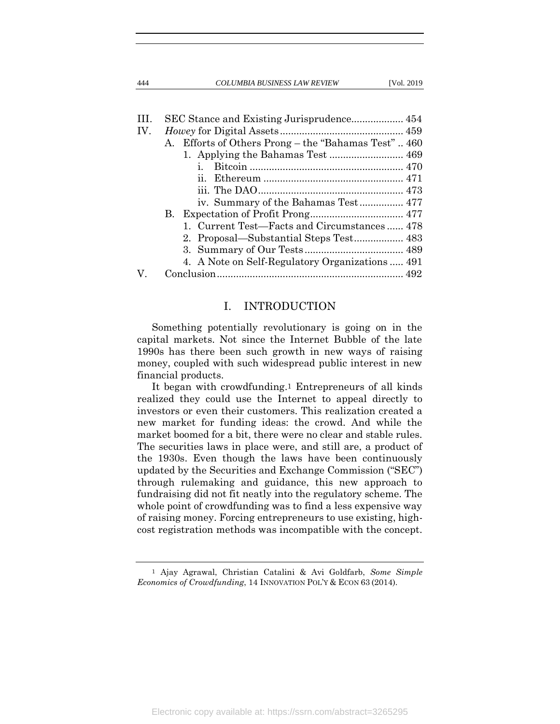444 *COLUMBIA BUSINESS LAW REVIEW* [Vol. 2019

| HL. |                                                     |
|-----|-----------------------------------------------------|
| IV. |                                                     |
|     | A. Efforts of Others Prong – the "Bahamas Test" 460 |
|     |                                                     |
|     | $\mathbf{1}$ .                                      |
|     | 11.                                                 |
|     |                                                     |
|     |                                                     |
|     |                                                     |
|     | 1. Current Test—Facts and Circumstances  478        |
|     |                                                     |
|     |                                                     |
|     | 4. A Note on Self-Regulatory Organizations  491     |
|     |                                                     |
|     |                                                     |

# I. INTRODUCTION

Something potentially revolutionary is going on in the capital markets. Not since the Internet Bubble of the late 1990s has there been such growth in new ways of raising money, coupled with such widespread public interest in new financial products.

It began with crowdfunding.1 Entrepreneurs of all kinds realized they could use the Internet to appeal directly to investors or even their customers. This realization created a new market for funding ideas: the crowd. And while the market boomed for a bit, there were no clear and stable rules. The securities laws in place were, and still are, a product of the 1930s. Even though the laws have been continuously updated by the Securities and Exchange Commission ("SEC") through rulemaking and guidance, this new approach to fundraising did not fit neatly into the regulatory scheme. The whole point of crowdfunding was to find a less expensive way of raising money. Forcing entrepreneurs to use existing, highcost registration methods was incompatible with the concept.

1 Ajay Agrawal, Christian Catalini & Avi Goldfarb, *Some Simple Economics of Crowdfunding*, 14 INNOVATION POL'Y & ECON 63 (2014).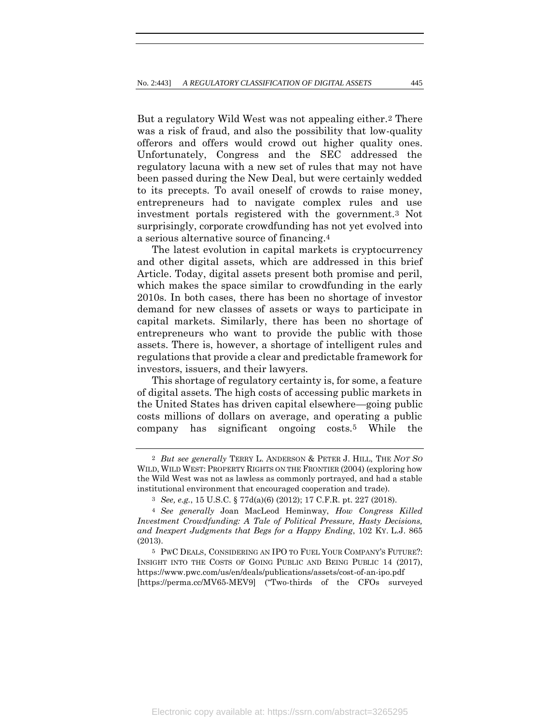But a regulatory Wild West was not appealing either.2 There was a risk of fraud, and also the possibility that low-quality offerors and offers would crowd out higher quality ones. Unfortunately, Congress and the SEC addressed the regulatory lacuna with a new set of rules that may not have been passed during the New Deal, but were certainly wedded to its precepts. To avail oneself of crowds to raise money, entrepreneurs had to navigate complex rules and use investment portals registered with the government.3 Not surprisingly, corporate crowdfunding has not yet evolved into a serious alternative source of financing.4

The latest evolution in capital markets is cryptocurrency and other digital assets, which are addressed in this brief Article. Today, digital assets present both promise and peril, which makes the space similar to crowdfunding in the early 2010s. In both cases, there has been no shortage of investor demand for new classes of assets or ways to participate in capital markets. Similarly, there has been no shortage of entrepreneurs who want to provide the public with those assets. There is, however, a shortage of intelligent rules and regulations that provide a clear and predictable framework for investors, issuers, and their lawyers.

This shortage of regulatory certainty is, for some, a feature of digital assets. The high costs of accessing public markets in the United States has driven capital elsewhere—going public costs millions of dollars on average, and operating a public company has significant ongoing costs.5 While the

<sup>2</sup> *But see generally* TERRY L. ANDERSON & PETER J. HILL, THE *NOT SO* WILD, WILD WEST: PROPERTY RIGHTS ON THE FRONTIER (2004) (exploring how the Wild West was not as lawless as commonly portrayed, and had a stable institutional environment that encouraged cooperation and trade).

<sup>3</sup> *See, e.g.*, 15 U.S.C. § 77d(a)(6) (2012); 17 C.F.R. pt. 227 (2018).

<sup>4</sup> *See generally* Joan MacLeod Heminway, *How Congress Killed Investment Crowdfunding: A Tale of Political Pressure, Hasty Decisions, and Inexpert Judgments that Begs for a Happy Ending*, 102 KY. L.J. 865 (2013).

<sup>5</sup> PWC DEALS, CONSIDERING AN IPO TO FUEL YOUR COMPANY'S FUTURE?: INSIGHT INTO THE COSTS OF GOING PUBLIC AND BEING PUBLIC 14 (2017), https://www.pwc.com/us/en/deals/publications/assets/cost-of-an-ipo.pdf [https://perma.cc/MV65-MEV9] ("Two-thirds of the CFOs surveyed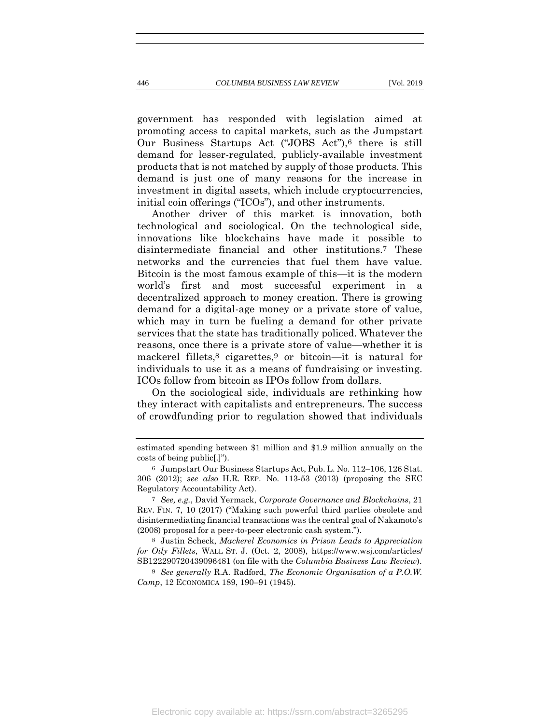government has responded with legislation aimed at promoting access to capital markets, such as the Jumpstart Our Business Startups Act ("JOBS Act"),6 there is still demand for lesser-regulated, publicly-available investment products that is not matched by supply of those products. This demand is just one of many reasons for the increase in investment in digital assets, which include cryptocurrencies,

initial coin offerings ("ICOs"), and other instruments. Another driver of this market is innovation, both technological and sociological. On the technological side, innovations like blockchains have made it possible to disintermediate financial and other institutions.7 These networks and the currencies that fuel them have value. Bitcoin is the most famous example of this—it is the modern world's first and most successful experiment in a decentralized approach to money creation. There is growing demand for a digital-age money or a private store of value, which may in turn be fueling a demand for other private services that the state has traditionally policed. Whatever the reasons, once there is a private store of value—whether it is mackerel fillets,8 cigarettes,9 or bitcoin—it is natural for individuals to use it as a means of fundraising or investing. ICOs follow from bitcoin as IPOs follow from dollars.

On the sociological side, individuals are rethinking how they interact with capitalists and entrepreneurs. The success of crowdfunding prior to regulation showed that individuals

8 Justin Scheck, *Mackerel Economics in Prison Leads to Appreciation for Oily Fillets*, WALL ST. J. (Oct. 2, 2008), https://www.wsj.com/articles/ SB122290720439096481 (on file with the *Columbia Business Law Review*).

9 *See generally* R.A. Radford, *The Economic Organisation of a P.O.W. Camp*, 12 ECONOMICA 189, 190–91 (1945).

estimated spending between \$1 million and \$1.9 million annually on the costs of being public[.]").

<sup>6</sup> Jumpstart Our Business Startups Act, Pub. L. No. 112–106, 126 Stat. 306 (2012); *see also* H.R. REP. No. 113-53 (2013) (proposing the SEC Regulatory Accountability Act).

<sup>7</sup> *See, e.g.*, David Yermack, *Corporate Governance and Blockchains*, 21 REV. FIN. 7, 10 (2017) ("Making such powerful third parties obsolete and disintermediating financial transactions was the central goal of Nakamoto's (2008) proposal for a peer-to-peer electronic cash system.").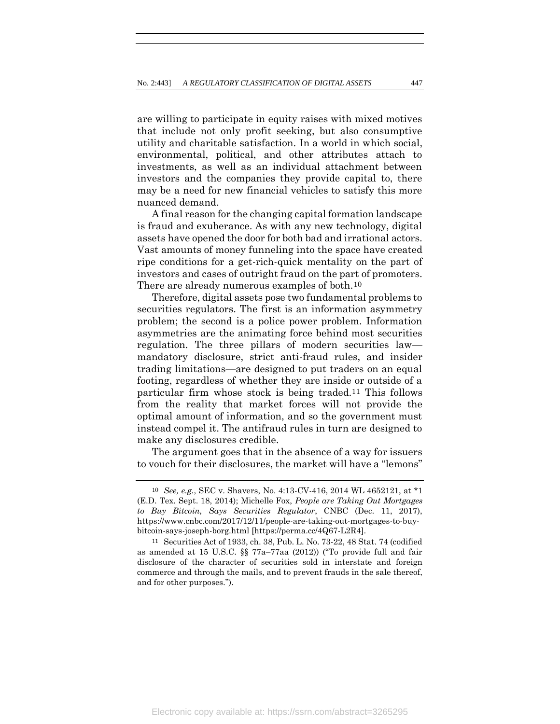are willing to participate in equity raises with mixed motives that include not only profit seeking, but also consumptive utility and charitable satisfaction. In a world in which social, environmental, political, and other attributes attach to investments, as well as an individual attachment between investors and the companies they provide capital to, there may be a need for new financial vehicles to satisfy this more nuanced demand.

A final reason for the changing capital formation landscape is fraud and exuberance. As with any new technology, digital assets have opened the door for both bad and irrational actors. Vast amounts of money funneling into the space have created ripe conditions for a get-rich-quick mentality on the part of investors and cases of outright fraud on the part of promoters. There are already numerous examples of both.10

Therefore, digital assets pose two fundamental problems to securities regulators. The first is an information asymmetry problem; the second is a police power problem. Information asymmetries are the animating force behind most securities regulation. The three pillars of modern securities law mandatory disclosure, strict anti-fraud rules, and insider trading limitations—are designed to put traders on an equal footing, regardless of whether they are inside or outside of a particular firm whose stock is being traded.11 This follows from the reality that market forces will not provide the optimal amount of information, and so the government must instead compel it. The antifraud rules in turn are designed to make any disclosures credible.

The argument goes that in the absence of a way for issuers to vouch for their disclosures, the market will have a "lemons"

<sup>10</sup> *See, e.g.*, SEC v. Shavers, No. 4:13-CV-416, 2014 WL 4652121, at \*1 (E.D. Tex. Sept. 18, 2014); Michelle Fox, *People are Taking Out Mortgages to Buy Bitcoin, Says Securities Regulator*, CNBC (Dec. 11, 2017), https://www.cnbc.com/2017/12/11/people-are-taking-out-mortgages-to-buybitcoin-says-joseph-borg.html [https://perma.cc/4Q67-L2R4].

<sup>11</sup> Securities Act of 1933, ch. 38, Pub. L. No. 73-22, 48 Stat. 74 (codified as amended at 15 U.S.C. §§ 77a–77aa (2012)) ("To provide full and fair disclosure of the character of securities sold in interstate and foreign commerce and through the mails, and to prevent frauds in the sale thereof, and for other purposes.").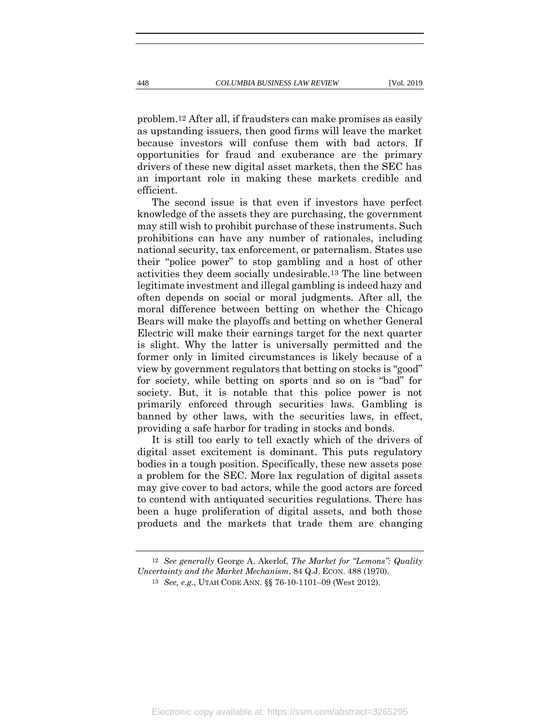problem.12 After all, if fraudsters can make promises as easily as upstanding issuers, then good firms will leave the market because investors will confuse them with bad actors. If opportunities for fraud and exuberance are the primary drivers of these new digital asset markets, then the SEC has an important role in making these markets credible and efficient.

The second issue is that even if investors have perfect knowledge of the assets they are purchasing, the government may still wish to prohibit purchase of these instruments. Such prohibitions can have any number of rationales, including national security, tax enforcement, or paternalism. States use their "police power" to stop gambling and a host of other activities they deem socially undesirable.13 The line between legitimate investment and illegal gambling is indeed hazy and often depends on social or moral judgments. After all, the moral difference between betting on whether the Chicago Bears will make the playoffs and betting on whether General Electric will make their earnings target for the next quarter is slight. Why the latter is universally permitted and the former only in limited circumstances is likely because of a view by government regulators that betting on stocks is "good" for society, while betting on sports and so on is "bad" for society. But, it is notable that this police power is not primarily enforced through securities laws. Gambling is banned by other laws, with the securities laws, in effect, providing a safe harbor for trading in stocks and bonds.

It is still too early to tell exactly which of the drivers of digital asset excitement is dominant. This puts regulatory bodies in a tough position. Specifically, these new assets pose a problem for the SEC. More lax regulation of digital assets may give cover to bad actors, while the good actors are forced to contend with antiquated securities regulations. There has been a huge proliferation of digital assets, and both those products and the markets that trade them are changing

<sup>12</sup> *See generally* George A. Akerlof, *The Market for "Lemons": Quality Uncertainty and the Market Mechanism*, 84 Q.J. ECON. 488 (1970).

<sup>13</sup> *See, e.g.*, UTAH CODE ANN. §§ 76-10-1101–09 (West 2012).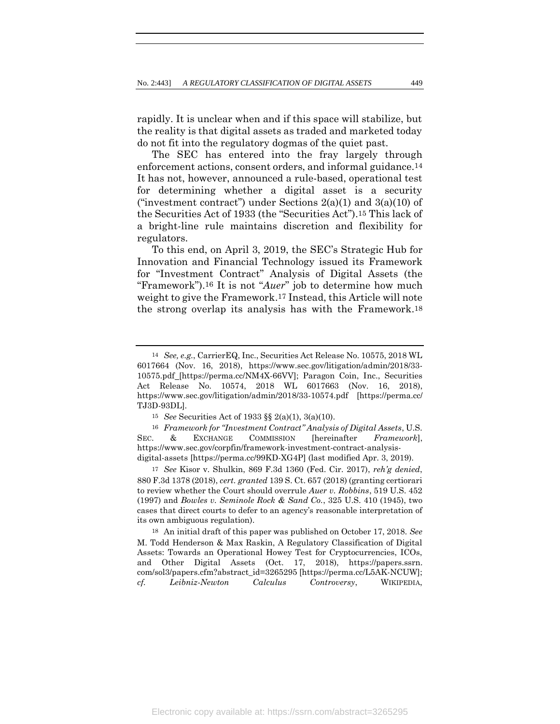rapidly. It is unclear when and if this space will stabilize, but the reality is that digital assets as traded and marketed today do not fit into the regulatory dogmas of the quiet past.

<span id="page-7-1"></span>The SEC has entered into the fray largely through enforcement actions, consent orders, and informal guidance.14 It has not, however, announced a rule-based, operational test for determining whether a digital asset is a security ("investment contract") under Sections  $2(a)(1)$  and  $3(a)(10)$  of the Securities Act of 1933 (the "Securities Act").15 This lack of a bright-line rule maintains discretion and flexibility for regulators.

<span id="page-7-0"></span>To this end, on April 3, 2019, the SEC's Strategic Hub for Innovation and Financial Technology issued its Framework for "Investment Contract" Analysis of Digital Assets (the "Framework").16 It is not "*Auer*" job to determine how much weight to give the Framework.17 Instead, this Article will note the strong overlap its analysis has with the Framework.18

16 *Framework for "Investment Contract" Analysis of Digital Assets*, U.S. SEC. & EXCHANGE COMMISSION [hereinafter *Framework*], https://www.sec.gov/corpfin/framework-investment-contract-analysisdigital-assets [https://perma.cc/99KD-XG4P] (last modified Apr. 3, 2019).

17 *See* Kisor v. Shulkin, 869 F.3d 1360 (Fed. Cir. 2017), *reh'g denied*, 880 F.3d 1378 (2018), *cert. granted* 139 S. Ct. 657 (2018) (granting certiorari to review whether the Court should overrule *Auer v. Robbins*, 519 U.S. 452 (1997) and *Bowles v. Seminole Rock & Sand Co.*, 325 U.S. 410 (1945), two cases that direct courts to defer to an agency's reasonable interpretation of its own ambiguous regulation).

18 An initial draft of this paper was published on October 17, 2018. *See* M. Todd Henderson & Max Raskin, A Regulatory Classification of Digital Assets: Towards an Operational Howey Test for Cryptocurrencies, ICOs, and Other Digital Assets (Oct. 17, 2018), https://papers.ssrn. com/sol3/papers.cfm?abstract\_id=3265295 [https://perma.cc/L5AK-NCUW]; *cf. Leibniz-Newton Calculus Controversy*, WIKIPEDIA,

<sup>14</sup> *See, e.g.*, CarrierEQ, Inc., Securities Act Release No. 10575, 2018 WL 6017664 (Nov. 16, 2018), https://www.sec.gov/litigation/admin/2018/33- 10575.pdf [https://perma.cc/NM4X-66VV]; Paragon Coin, Inc., Securities Act Release No. 10574, 2018 WL 6017663 (Nov. 16, 2018), https://www.sec.gov/litigation/admin/2018/33-10574.pdf [https://perma.cc/ TJ3D-93DL].

<sup>15</sup> *See* Securities Act of 1933 §§ 2(a)(1), 3(a)(10).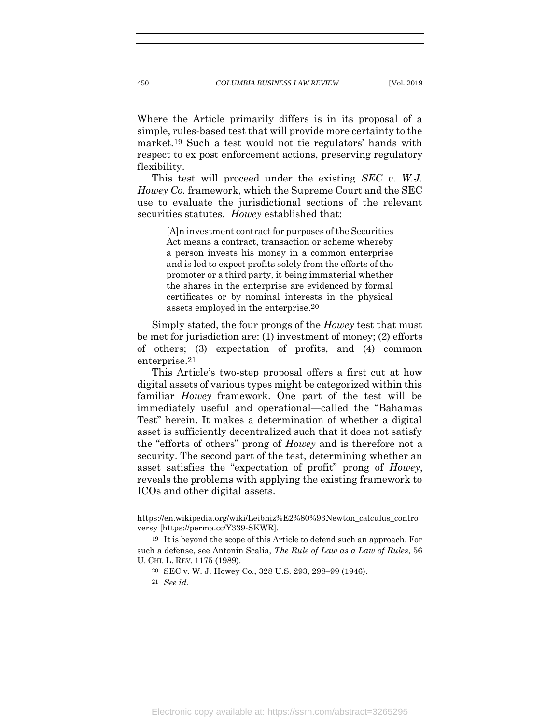Where the Article primarily differs is in its proposal of a simple, rules-based test that will provide more certainty to the market.19 Such a test would not tie regulators' hands with respect to ex post enforcement actions, preserving regulatory flexibility.

This test will proceed under the existing *SEC v. W.J. Howey Co.* framework, which the Supreme Court and the SEC use to evaluate the jurisdictional sections of the relevant securities statutes. *Howey* established that:

> [A]n investment contract for purposes of the Securities Act means a contract, transaction or scheme whereby a person invests his money in a common enterprise and is led to expect profits solely from the efforts of the promoter or a third party, it being immaterial whether the shares in the enterprise are evidenced by formal certificates or by nominal interests in the physical assets employed in the enterprise.20

Simply stated, the four prongs of the *Howey* test that must be met for jurisdiction are: (1) investment of money; (2) efforts of others; (3) expectation of profits, and (4) common enterprise.21

This Article's two-step proposal offers a first cut at how digital assets of various types might be categorized within this familiar *Howey* framework. One part of the test will be immediately useful and operational—called the "Bahamas Test" herein. It makes a determination of whether a digital asset is sufficiently decentralized such that it does not satisfy the "efforts of others" prong of *Howey* and is therefore not a security. The second part of the test, determining whether an asset satisfies the "expectation of profit" prong of *Howey*, reveals the problems with applying the existing framework to ICOs and other digital assets.

https://en.wikipedia.org/wiki/Leibniz%E2%80%93Newton\_calculus\_contro versy [https://perma.cc/Y339-SKWR].

<sup>19</sup> It is beyond the scope of this Article to defend such an approach. For such a defense, see Antonin Scalia, *The Rule of Law as a Law of Rules*, 56 U. CHI. L. REV. 1175 (1989).

<sup>20</sup> SEC v. W. J. Howey Co., 328 U.S. 293, 298–99 (1946).

<sup>21</sup> *See id.*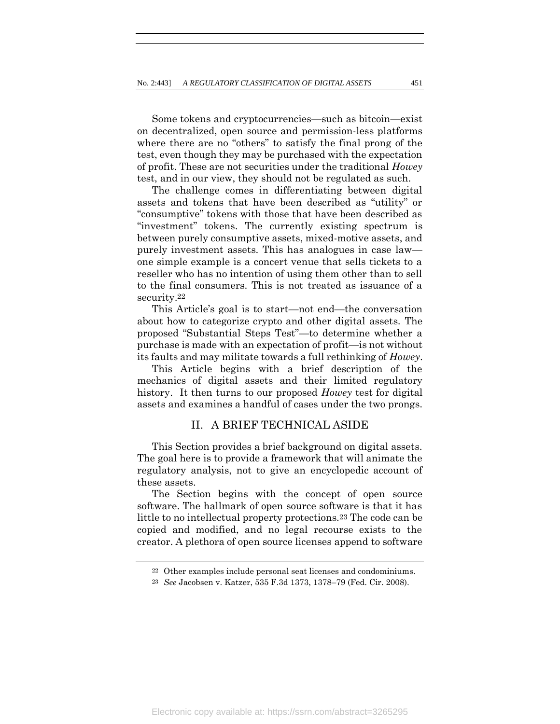Some tokens and cryptocurrencies—such as bitcoin—exist on decentralized, open source and permission-less platforms where there are no "others" to satisfy the final prong of the test, even though they may be purchased with the expectation of profit. These are not securities under the traditional *Howey*  test, and in our view, they should not be regulated as such.

The challenge comes in differentiating between digital assets and tokens that have been described as "utility" or "consumptive" tokens with those that have been described as "investment" tokens. The currently existing spectrum is between purely consumptive assets, mixed-motive assets, and purely investment assets. This has analogues in case law one simple example is a concert venue that sells tickets to a reseller who has no intention of using them other than to sell to the final consumers. This is not treated as issuance of a security.22

This Article's goal is to start—not end—the conversation about how to categorize crypto and other digital assets. The proposed "Substantial Steps Test"—to determine whether a purchase is made with an expectation of profit—is not without its faults and may militate towards a full rethinking of *Howey*.

This Article begins with a brief description of the mechanics of digital assets and their limited regulatory history. It then turns to our proposed *Howey* test for digital assets and examines a handful of cases under the two prongs.

# II. A BRIEF TECHNICAL ASIDE

This Section provides a brief background on digital assets. The goal here is to provide a framework that will animate the regulatory analysis, not to give an encyclopedic account of these assets.

The Section begins with the concept of open source software. The hallmark of open source software is that it has little to no intellectual property protections.23 The code can be copied and modified, and no legal recourse exists to the creator. A plethora of open source licenses append to software

<sup>22</sup> Other examples include personal seat licenses and condominiums.

<sup>23</sup> *See* Jacobsen v. Katzer, 535 F.3d 1373, 1378–79 (Fed. Cir. 2008).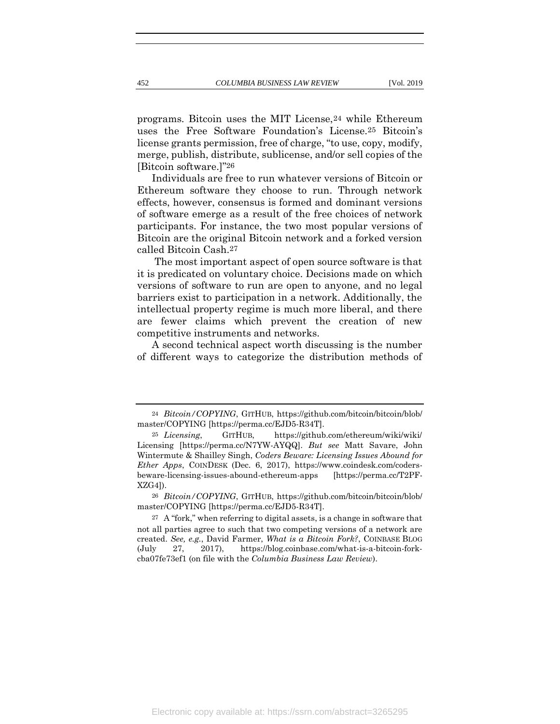programs. Bitcoin uses the MIT License,24 while Ethereum uses the Free Software Foundation's License.25 Bitcoin's license grants permission, free of charge, "to use, copy, modify, merge, publish, distribute, sublicense, and/or sell copies of the [Bitcoin software.]"26

Individuals are free to run whatever versions of Bitcoin or Ethereum software they choose to run. Through network effects, however, consensus is formed and dominant versions of software emerge as a result of the free choices of network participants. For instance, the two most popular versions of Bitcoin are the original Bitcoin network and a forked version called Bitcoin Cash.27

The most important aspect of open source software is that it is predicated on voluntary choice. Decisions made on which versions of software to run are open to anyone, and no legal barriers exist to participation in a network. Additionally, the intellectual property regime is much more liberal, and there are fewer claims which prevent the creation of new competitive instruments and networks.

A second technical aspect worth discussing is the number of different ways to categorize the distribution methods of

<sup>24</sup> *Bitcoin/COPYING*, GITHUB, https://github.com/bitcoin/bitcoin/blob/ master/COPYING [https://perma.cc/EJD5-R34T].

<sup>25</sup> *Licensing*, GITHUB, https://github.com/ethereum/wiki/wiki/ Licensing [https://perma.cc/N7YW-AYQQ]. *But see* Matt Savare, John Wintermute & Shailley Singh, *Coders Beware: Licensing Issues Abound for Ether Apps*, COINDESK (Dec. 6, 2017), https://www.coindesk.com/codersbeware-licensing-issues-abound-ethereum-apps [https://perma.cc/T2PF-XZG4]).

<sup>26</sup> *Bitcoin/COPYING*, GITHUB, https://github.com/bitcoin/bitcoin/blob/ master/COPYING [https://perma.cc/EJD5-R34T].

<sup>27</sup> A "fork," when referring to digital assets, is a change in software that not all parties agree to such that two competing versions of a network are created. *See, e.g.*, David Farmer, *What is a Bitcoin Fork?*, COINBASE BLOG (July 27, 2017), https://blog.coinbase.com/what-is-a-bitcoin-forkcba07fe73ef1 (on file with the *Columbia Business Law Review*).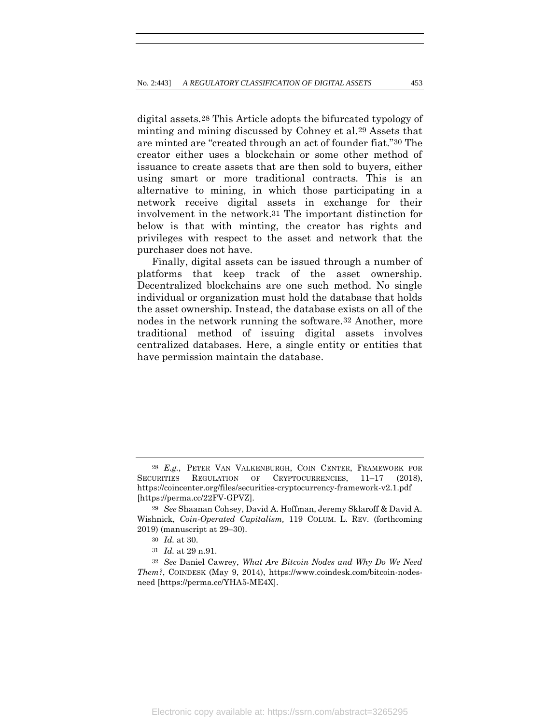<span id="page-11-1"></span><span id="page-11-0"></span>digital assets.28 This Article adopts the bifurcated typology of minting and mining discussed by Cohney et al.29 Assets that are minted are "created through an act of founder fiat."30 The creator either uses a blockchain or some other method of issuance to create assets that are then sold to buyers, either using smart or more traditional contracts. This is an alternative to mining, in which those participating in a network receive digital assets in exchange for their involvement in the network.31 The important distinction for below is that with minting, the creator has rights and privileges with respect to the asset and network that the purchaser does not have.

Finally, digital assets can be issued through a number of platforms that keep track of the asset ownership. Decentralized blockchains are one such method. No single individual or organization must hold the database that holds the asset ownership. Instead, the database exists on all of the nodes in the network running the software.32 Another, more traditional method of issuing digital assets involves centralized databases. Here, a single entity or entities that have permission maintain the database.

<sup>28</sup> *E.g.*, PETER VAN VALKENBURGH, COIN CENTER, FRAMEWORK FOR SECURITIES REGULATION OF CRYPTOCURRENCIES, 11-17 (2018), https://coincenter.org/files/securities-cryptocurrency-framework-v2.1.pdf [https://perma.cc/22FV-GPVZ].

<sup>29</sup> *See* Shaanan Cohsey, David A. Hoffman, Jeremy Sklaroff & David A. Wishnick, *Coin-Operated Capitalism,* 119 COLUM. L. REV. (forthcoming 2019) (manuscript at 29–30).

<sup>30</sup> *Id.* at 30.

<sup>31</sup> *Id.* at 29 n.91.

<sup>32</sup> *See* Daniel Cawrey, *What Are Bitcoin Nodes and Why Do We Need Them?*, COINDESK (May 9, 2014), https://www.coindesk.com/bitcoin-nodesneed [https://perma.cc/YHA5-ME4X].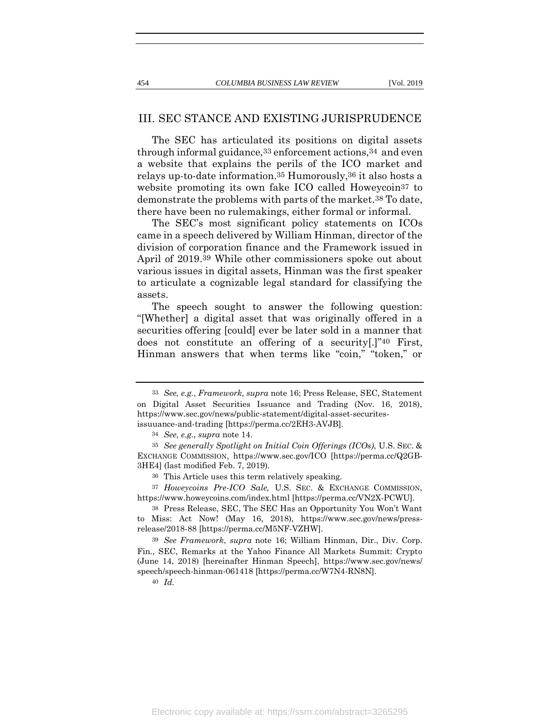# III. SEC STANCE AND EXISTING JURISPRUDENCE

The SEC has articulated its positions on digital assets through informal guidance,33 enforcement actions,34 and even a website that explains the perils of the ICO market and relays up-to-date information.35 Humorously,36 it also hosts a website promoting its own fake ICO called Howeycoin<sup>37</sup> to demonstrate the problems with parts of the market.38 To date, there have been no rulemakings, either formal or informal.

<span id="page-12-0"></span>The SEC's most significant policy statements on ICOs came in a speech delivered by William Hinman, director of the division of corporation finance and the Framework issued in April of 2019.39 While other commissioners spoke out about various issues in digital assets, Hinman was the first speaker to articulate a cognizable legal standard for classifying the assets.

The speech sought to answer the following question: "[Whether] a digital asset that was originally offered in a securities offering [could] ever be later sold in a manner that does not constitute an offering of a security[.]"40 First, Hinman answers that when terms like "coin," "token," or

40 *Id.*

<sup>33</sup> *See, e.g.*, *Framework*, *supra* note [16;](#page-7-0) Press Release, SEC, Statement on Digital Asset Securities Issuance and Trading (Nov. 16, 2018), https://www.sec.gov/news/public-statement/digital-asset-securitesissuuance-and-trading [https://perma.cc/2EH3-AVJB].

<sup>34</sup> *See, e.g.*, *supra* note [14.](#page-7-1)

<sup>35</sup> *See generally Spotlight on Initial Coin Offerings (ICOs)*, U.S. SEC. & EXCHANGE COMMISSION, https:[//www.sec.gov/ICO](http://www.sec.gov/ICO) [https://perma.cc/Q2GB-3HE4] (last modified Feb. 7, 2019).

<sup>36</sup> This Article uses this term relatively speaking.

<sup>37</sup> *Howeycoins Pre-ICO Sale,* U.S. SEC. & EXCHANGE COMMISSION, https://www.howeycoins.com/index.html [https://perma.cc/VN2X-PCWU].

<sup>38</sup> Press Release, SEC, The SEC Has an Opportunity You Won't Want to Miss: Act Now! (May 16, 2018), https://www.sec.gov/news/pressrelease/2018-88 [https://perma.cc/M5NF-VZHW].

<sup>39</sup> *See Framework*, *supra* note [16;](#page-7-0) William Hinman, Dir., Div. Corp. Fin., SEC, Remarks at the Yahoo Finance All Markets Summit: Crypto (June 14, 2018) [hereinafter Hinman Speech], https://www.sec.gov/news/ speech/speech-hinman-061418 [https://perma.cc/W7N4-RN8N].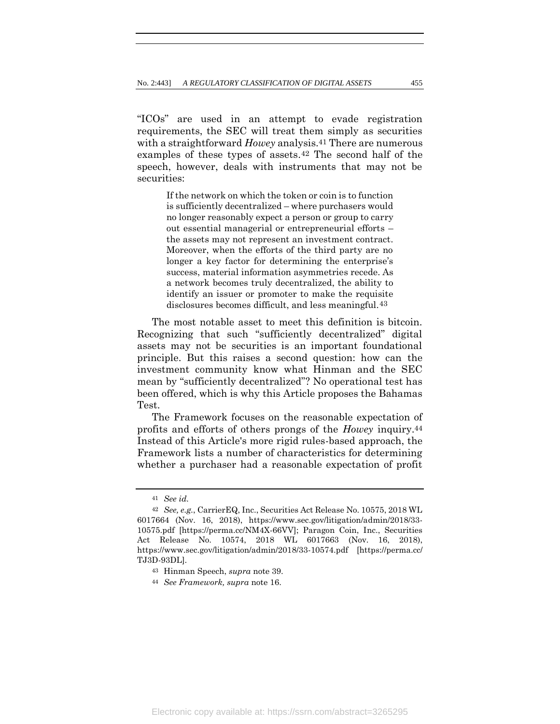"ICOs" are used in an attempt to evade registration requirements, the SEC will treat them simply as securities with a straightforward *Howey* analysis.<sup>41</sup> There are numerous examples of these types of assets.42 The second half of the speech, however, deals with instruments that may not be securities:

> If the network on which the token or coin is to function is sufficiently decentralized – where purchasers would no longer reasonably expect a person or group to carry out essential managerial or entrepreneurial efforts – the assets may not represent an investment contract. Moreover, when the efforts of the third party are no longer a key factor for determining the enterprise's success, material information asymmetries recede. As a network becomes truly decentralized, the ability to identify an issuer or promoter to make the requisite disclosures becomes difficult, and less meaningful.43

The most notable asset to meet this definition is bitcoin. Recognizing that such "sufficiently decentralized" digital assets may not be securities is an important foundational principle. But this raises a second question: how can the investment community know what Hinman and the SEC mean by "sufficiently decentralized"? No operational test has been offered, which is why this Article proposes the Bahamas Test.

The Framework focuses on the reasonable expectation of profits and efforts of others prongs of the *Howey* inquiry.44 Instead of this Article's more rigid rules-based approach, the Framework lists a number of characteristics for determining whether a purchaser had a reasonable expectation of profit

<span id="page-13-0"></span>

<sup>41</sup> *See id.*

<sup>42</sup> *See, e.g.*, CarrierEQ, Inc., Securities Act Release No. 10575, 2018 WL 6017664 (Nov. 16, 2018), https://www.sec.gov/litigation/admin/2018/33- 10575.pdf [https://perma.cc/NM4X-66VV]; Paragon Coin, Inc., Securities Act Release No. 10574, 2018 WL 6017663 (Nov. 16, 2018), https://www.sec.gov/litigation/admin/2018/33-10574.pdf [https://perma.cc/ TJ3D-93DL].

<sup>43</sup> Hinman Speech, *supra* note [39.](#page-12-0)

<sup>44</sup> *See Framework, supra* note [16.](#page-7-0)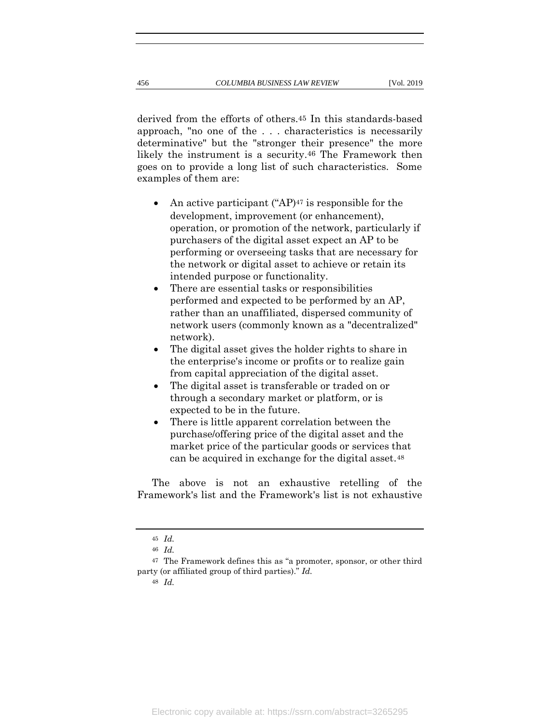derived from the efforts of others.45 In this standards-based approach, "no one of the . . . characteristics is necessarily determinative" but the "stronger their presence" the more likely the instrument is a security.46 The Framework then goes on to provide a long list of such characteristics. Some examples of them are:

- An active participant ("AP)<sup>47</sup> is responsible for the development, improvement (or enhancement), operation, or promotion of the network, particularly if purchasers of the digital asset expect an AP to be performing or overseeing tasks that are necessary for the network or digital asset to achieve or retain its intended purpose or functionality.
- There are essential tasks or responsibilities performed and expected to be performed by an AP, rather than an unaffiliated, dispersed community of network users (commonly known as a "decentralized" network).
- The digital asset gives the holder rights to share in the enterprise's income or profits or to realize gain from capital appreciation of the digital asset.
- The digital asset is transferable or traded on or through a secondary market or platform, or is expected to be in the future.
- There is little apparent correlation between the purchase/offering price of the digital asset and the market price of the particular goods or services that can be acquired in exchange for the digital asset.<sup>48</sup>

The above is not an exhaustive retelling of the Framework's list and the Framework's list is not exhaustive

48 *Id.*

<sup>45</sup> *Id.*

<sup>46</sup> *Id.*

<sup>47</sup> The Framework defines this as "a promoter, sponsor, or other third party (or affiliated group of third parties)." *Id.*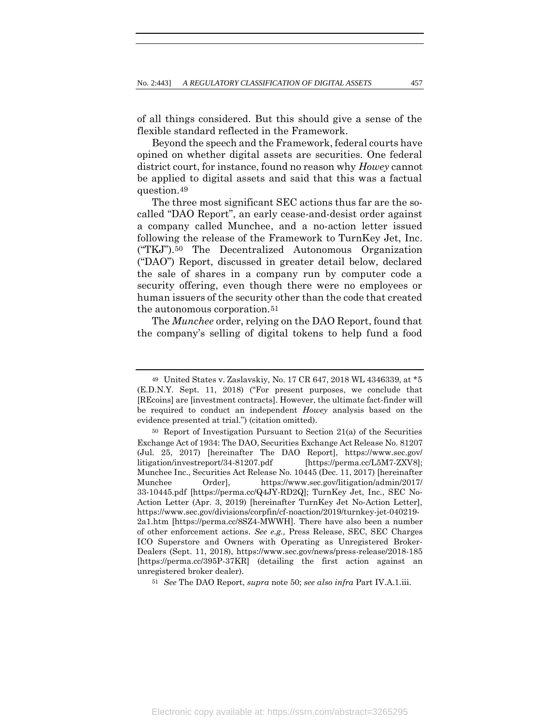of all things considered. But this should give a sense of the flexible standard reflected in the Framework.

Beyond the speech and the Framework, federal courts have opined on whether digital assets are securities. One federal district court, for instance, found no reason why *Howey* cannot be applied to digital assets and said that this was a factual question.49

<span id="page-15-0"></span>The three most significant SEC actions thus far are the socalled "DAO Report", an early cease-and-desist order against a company called Munchee, and a no-action letter issued following the release of the Framework to TurnKey Jet, Inc. ("TKJ").50 The Decentralized Autonomous Organization ("DAO") Report, discussed in greater detail below, declared the sale of shares in a company run by computer code a security offering, even though there were no employees or human issuers of the security other than the code that created the autonomous corporation.51

The *Munchee* order, relying on the DAO Report, found that the company's selling of digital tokens to help fund a food

51 *See* The DAO Report, *supra* note [50;](#page-15-0) *see also infra* Part IV.A.1.iii.

<sup>49</sup> United States v. Zaslavskiy, No. 17 CR 647, 2018 WL 4346339, at \*5 (E.D.N.Y. Sept. 11, 2018) ("For present purposes, we conclude that [REcoins] are [investment contracts]. However, the ultimate fact-finder will be required to conduct an independent *Howey* analysis based on the evidence presented at trial.") (citation omitted).

<sup>50</sup> Report of Investigation Pursuant to Section 21(a) of the Securities Exchange Act of 1934: The DAO, Securities Exchange Act Release No. 81207 (Jul. 25, 2017) [hereinafter The DAO Report], https://www.sec.gov/ litigation/investreport/34-81207.pdf [https://perma.cc/L5M7-ZXV8]; Munchee Inc., Securities Act Release No. 10445 (Dec. 11, 2017) [hereinafter Munchee Order], https://www.sec.gov/litigation/admin/2017/ 33-10445.pdf [https://perma.cc/Q4JY-RD2Q]; TurnKey Jet, Inc., SEC No-Action Letter (Apr. 3, 2019) [hereinafter TurnKey Jet No-Action Letter], https://www.sec.gov/divisions/corpfin/cf-noaction/2019/turnkey-jet-040219- 2a1.htm [https://perma.cc/8SZ4-MWWH]. There have also been a number of other enforcement actions. *See e.g.,* Press Release, SEC, SEC Charges ICO Superstore and Owners with Operating as Unregistered Broker-Dealers (Sept. 11, 2018), https://www.sec.gov/news/press-release/2018-185 [https://perma.cc/395P-37KR] (detailing the first action against an unregistered broker dealer).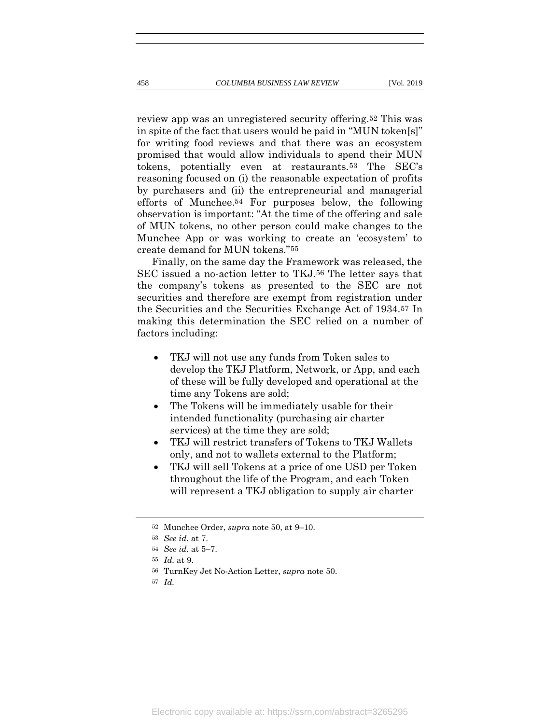review app was an unregistered security offering.52 This was in spite of the fact that users would be paid in "MUN token[s]" for writing food reviews and that there was an ecosystem promised that would allow individuals to spend their MUN tokens, potentially even at restaurants.53 The SEC's reasoning focused on (i) the reasonable expectation of profits by purchasers and (ii) the entrepreneurial and managerial efforts of Munchee.54 For purposes below, the following observation is important: "At the time of the offering and sale of MUN tokens, no other person could make changes to the Munchee App or was working to create an 'ecosystem' to create demand for MUN tokens."55

Finally, on the same day the Framework was released, the SEC issued a no-action letter to TKJ.56 The letter says that the company's tokens as presented to the SEC are not securities and therefore are exempt from registration under the Securities and the Securities Exchange Act of 1934.57 In making this determination the SEC relied on a number of factors including:

- TKJ will not use any funds from Token sales to develop the TKJ Platform, Network, or App, and each of these will be fully developed and operational at the time any Tokens are sold;
- The Tokens will be immediately usable for their intended functionality (purchasing air charter services) at the time they are sold;
- TKJ will restrict transfers of Tokens to TKJ Wallets only, and not to wallets external to the Platform;
- TKJ will sell Tokens at a price of one USD per Token throughout the life of the Program, and each Token will represent a TKJ obligation to supply air charter

<sup>52</sup> Munchee Order, *supra* note [50,](#page-15-0) at 9–10.

<sup>53</sup> *See id.* at 7.

<sup>54</sup> *See id.* at 5–7.

<sup>55</sup> *Id.* at 9.

<sup>56</sup> TurnKey Jet No-Action Letter, *supra* note [50.](#page-15-0)

<sup>57</sup> *Id.*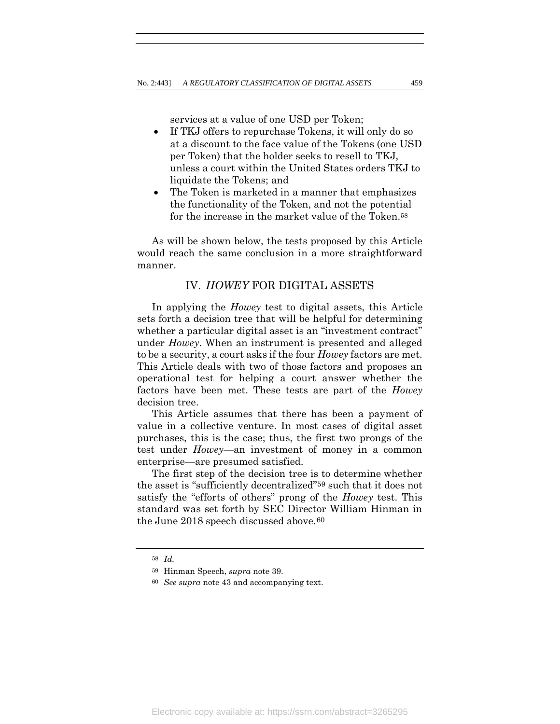services at a value of one USD per Token;

- If TKJ offers to repurchase Tokens, it will only do so at a discount to the face value of the Tokens (one USD per Token) that the holder seeks to resell to TKJ, unless a court within the United States orders TKJ to liquidate the Tokens; and
- The Token is marketed in a manner that emphasizes the functionality of the Token, and not the potential for the increase in the market value of the Token.<sup>58</sup>

As will be shown below, the tests proposed by this Article would reach the same conclusion in a more straightforward manner.

# IV. *HOWEY* FOR DIGITAL ASSETS

In applying the *Howey* test to digital assets, this Article sets forth a decision tree that will be helpful for determining whether a particular digital asset is an "investment contract" under *Howey*. When an instrument is presented and alleged to be a security, a court asks if the four *Howey* factors are met. This Article deals with two of those factors and proposes an operational test for helping a court answer whether the factors have been met. These tests are part of the *Howey* decision tree.

This Article assumes that there has been a payment of value in a collective venture. In most cases of digital asset purchases, this is the case; thus, the first two prongs of the test under *Howey*—an investment of money in a common enterprise—are presumed satisfied.

The first step of the decision tree is to determine whether the asset is "sufficiently decentralized"59 such that it does not satisfy the "efforts of others" prong of the *Howey* test. This standard was set forth by SEC Director William Hinman in the June 2018 speech discussed above.<sup>60</sup>

<sup>58</sup> *Id.*

<sup>59</sup> Hinman Speech, *supra* note [39.](#page-12-0)

<sup>60</sup> *See supra* not[e 43](#page-13-0) and accompanying text.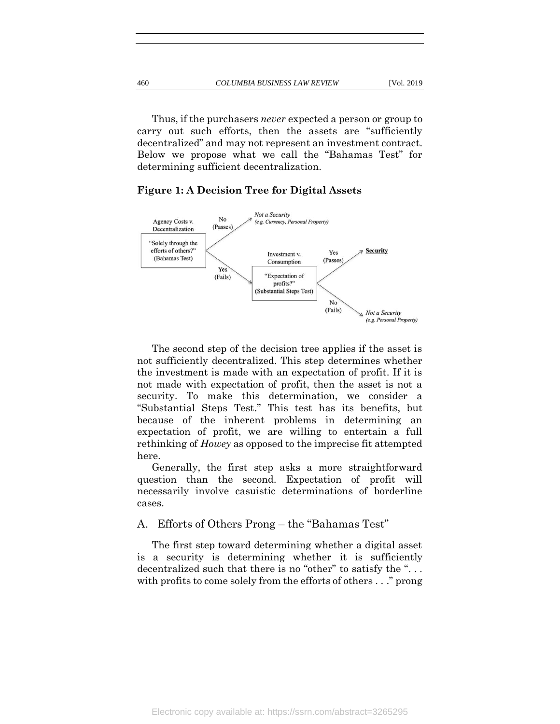Below we propose what we call the "Bahamas Test" for

Thus, if the purchasers *never* expected a person or group to carry out such efforts, then the assets are "sufficiently decentralized" and may not represent an investment contract.

# **Figure 1: A Decision Tree for Digital Assets**

determining sufficient decentralization.



The second step of the decision tree applies if the asset is not sufficiently decentralized. This step determines whether the investment is made with an expectation of profit. If it is not made with expectation of profit, then the asset is not a security. To make this determination, we consider a "Substantial Steps Test." This test has its benefits, but because of the inherent problems in determining an expectation of profit, we are willing to entertain a full rethinking of *Howey* as opposed to the imprecise fit attempted here.

Generally, the first step asks a more straightforward question than the second. Expectation of profit will necessarily involve casuistic determinations of borderline cases.

# A. Efforts of Others Prong – the "Bahamas Test"

The first step toward determining whether a digital asset is a security is determining whether it is sufficiently decentralized such that there is no "other" to satisfy the "... with profits to come solely from the efforts of others . . ." prong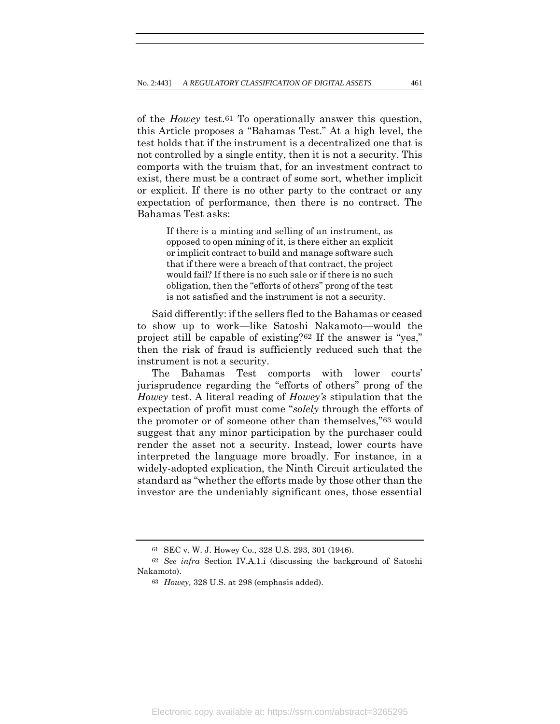of the *Howey* test.61 To operationally answer this question, this Article proposes a "Bahamas Test." At a high level, the test holds that if the instrument is a decentralized one that is not controlled by a single entity, then it is not a security. This comports with the truism that, for an investment contract to exist, there must be a contract of some sort, whether implicit or explicit. If there is no other party to the contract or any expectation of performance, then there is no contract. The Bahamas Test asks:

> If there is a minting and selling of an instrument, as opposed to open mining of it, is there either an explicit or implicit contract to build and manage software such that if there were a breach of that contract, the project would fail? If there is no such sale or if there is no such obligation, then the "efforts of others" prong of the test is not satisfied and the instrument is not a security.

Said differently: if the sellers fled to the Bahamas or ceased to show up to work—like Satoshi Nakamoto—would the project still be capable of existing?62 If the answer is "yes," then the risk of fraud is sufficiently reduced such that the instrument is not a security.

The Bahamas Test comports with lower courts' jurisprudence regarding the "efforts of others" prong of the *Howey* test. A literal reading of *Howey's* stipulation that the expectation of profit must come "*solely* through the efforts of the promoter or of someone other than themselves,"63 would suggest that any minor participation by the purchaser could render the asset not a security. Instead, lower courts have interpreted the language more broadly. For instance, in a widely-adopted explication, the Ninth Circuit articulated the standard as "whether the efforts made by those other than the investor are the undeniably significant ones, those essential

<sup>61</sup> SEC v. W. J. Howey Co., 328 U.S. 293, 301 (1946).

<sup>62</sup> *See infra* Section IV.A.1.i (discussing the background of Satoshi Nakamoto).

<sup>63</sup> *Howey,* 328 U.S. at 298 (emphasis added).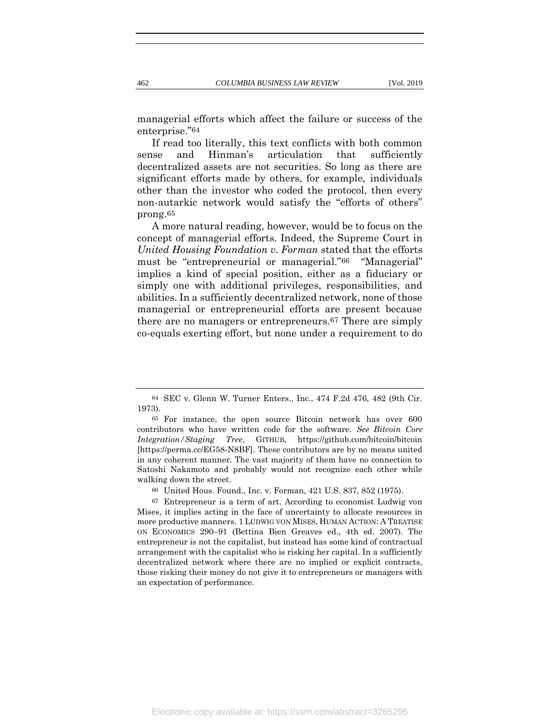managerial efforts which affect the failure or success of the enterprise."64

If read too literally, this text conflicts with both common sense and Hinman's articulation that sufficiently decentralized assets are not securities. So long as there are significant efforts made by others, for example, individuals other than the investor who coded the protocol, then every non-autarkic network would satisfy the "efforts of others" prong.65

A more natural reading, however, would be to focus on the concept of managerial efforts. Indeed, the Supreme Court in *United Housing Foundation v. Forman* stated that the efforts must be "entrepreneurial or managerial."<sup>66</sup> "Managerial" implies a kind of special position, either as a fiduciary or simply one with additional privileges, responsibilities, and abilities. In a sufficiently decentralized network, none of those managerial or entrepreneurial efforts are present because there are no managers or entrepreneurs.67 There are simply co-equals exerting effort, but none under a requirement to do

<sup>64</sup> SEC v. Glenn W. Turner Enters., Inc., 474 F.2d 476, 482 (9th Cir. 1973).

<sup>65</sup> For instance, the open source Bitcoin network has over 600 contributors who have written code for the software. *See Bitcoin Core Integration/Staging Tree*, GITHUB, https://github.com/bitcoin/bitcoin [https://perma.cc/EG58-N8BF]. These contributors are by no means united in any coherent manner. The vast majority of them have no connection to Satoshi Nakamoto and probably would not recognize each other while walking down the street.

<sup>66</sup> United Hous. Found., Inc. v. Forman, 421 U.S. 837, 852 (1975).

<sup>67</sup> Entrepreneur is a term of art. According to economist Ludwig von Mises, it implies acting in the face of uncertainty to allocate resources in more productive manners. 1 LUDWIG VON MISES, HUMAN ACTION: A TREATISE ON ECONOMICS 290–91 (Bettina Bien Greaves ed., 4th ed. 2007). The entrepreneur is not the capitalist, but instead has some kind of contractual arrangement with the capitalist who is risking her capital. In a sufficiently decentralized network where there are no implied or explicit contracts, those risking their money do not give it to entrepreneurs or managers with an expectation of performance.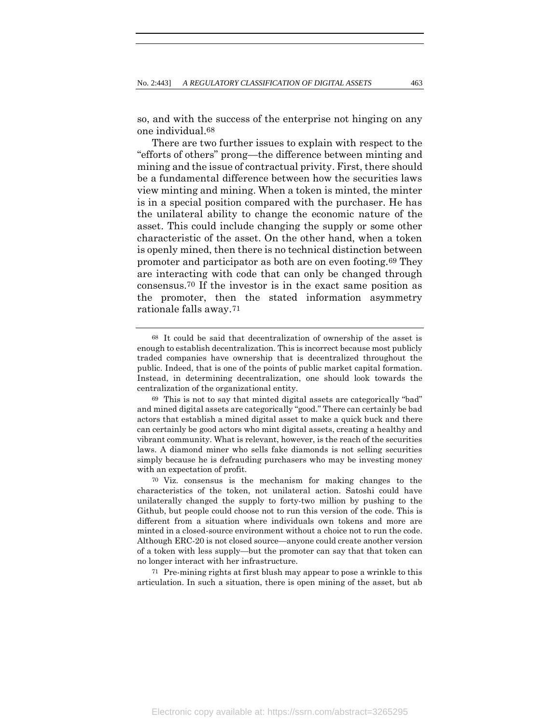so, and with the success of the enterprise not hinging on any one individual.68

There are two further issues to explain with respect to the "efforts of others" prong—the difference between minting and mining and the issue of contractual privity. First, there should be a fundamental difference between how the securities laws view minting and mining. When a token is minted, the minter is in a special position compared with the purchaser. He has the unilateral ability to change the economic nature of the asset. This could include changing the supply or some other characteristic of the asset. On the other hand, when a token is openly mined, then there is no technical distinction between promoter and participator as both are on even footing.69 They are interacting with code that can only be changed through consensus.70 If the investor is in the exact same position as the promoter, then the stated information asymmetry rationale falls away.71

71 Pre-mining rights at first blush may appear to pose a wrinkle to this articulation. In such a situation, there is open mining of the asset, but ab

<sup>68</sup> It could be said that decentralization of ownership of the asset is enough to establish decentralization. This is incorrect because most publicly traded companies have ownership that is decentralized throughout the public. Indeed, that is one of the points of public market capital formation. Instead, in determining decentralization, one should look towards the centralization of the organizational entity.

<sup>69</sup> This is not to say that minted digital assets are categorically "bad" and mined digital assets are categorically "good." There can certainly be bad actors that establish a mined digital asset to make a quick buck and there can certainly be good actors who mint digital assets, creating a healthy and vibrant community. What is relevant, however, is the reach of the securities laws. A diamond miner who sells fake diamonds is not selling securities simply because he is defrauding purchasers who may be investing money with an expectation of profit.

<sup>70</sup> Viz. consensus is the mechanism for making changes to the characteristics of the token, not unilateral action. Satoshi could have unilaterally changed the supply to forty-two million by pushing to the Github, but people could choose not to run this version of the code. This is different from a situation where individuals own tokens and more are minted in a closed-source environment without a choice not to run the code. Although ERC-20 is not closed source—anyone could create another version of a token with less supply—but the promoter can say that that token can no longer interact with her infrastructure.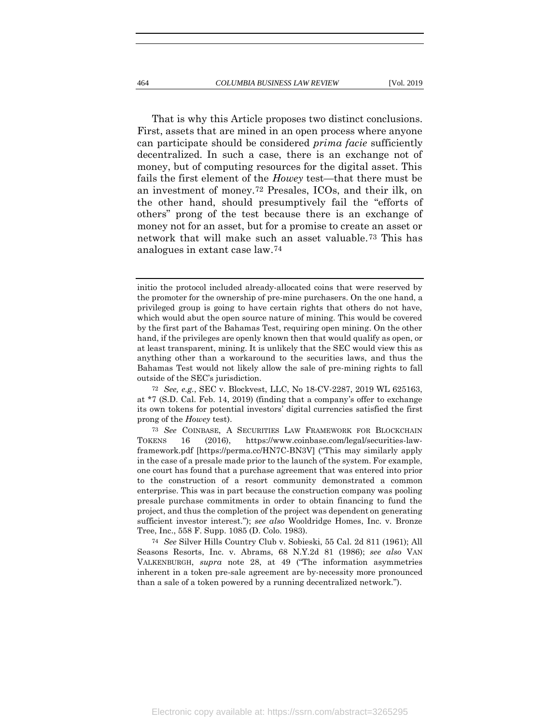That is why this Article proposes two distinct conclusions. First, assets that are mined in an open process where anyone can participate should be considered *prima facie* sufficiently decentralized. In such a case, there is an exchange not of money, but of computing resources for the digital asset. This fails the first element of the *Howey* test—that there must be an investment of money.72 Presales, ICOs, and their ilk, on the other hand, should presumptively fail the "efforts of others" prong of the test because there is an exchange of money not for an asset, but for a promise to create an asset or network that will make such an asset valuable.73 This has analogues in extant case law.74

initio the protocol included already-allocated coins that were reserved by the promoter for the ownership of pre-mine purchasers. On the one hand, a privileged group is going to have certain rights that others do not have, which would abut the open source nature of mining. This would be covered by the first part of the Bahamas Test, requiring open mining. On the other hand, if the privileges are openly known then that would qualify as open, or at least transparent, mining. It is unlikely that the SEC would view this as anything other than a workaround to the securities laws, and thus the Bahamas Test would not likely allow the sale of pre-mining rights to fall outside of the SEC's jurisdiction.

<sup>72</sup> *See, e.g.*, SEC v. Blockvest, LLC, No 18-CV-2287, 2019 WL 625163, at \*7 (S.D. Cal. Feb. 14, 2019) (finding that a company's offer to exchange its own tokens for potential investors' digital currencies satisfied the first prong of the *Howey* test).

<sup>73</sup> *See* COINBASE, A SECURITIES LAW FRAMEWORK FOR BLOCKCHAIN TOKENS 16 (2016), https://www.coinbase.com/legal/securities-lawframework.pdf [https://perma.cc/HN7C-BN3V] ("This may similarly apply in the case of a presale made prior to the launch of the system. For example, one court has found that a purchase agreement that was entered into prior to the construction of a resort community demonstrated a common enterprise. This was in part because the construction company was pooling presale purchase commitments in order to obtain financing to fund the project, and thus the completion of the project was dependent on generating sufficient investor interest."); *see also* Wooldridge Homes, Inc. v. Bronze Tree, Inc., 558 F. Supp. 1085 (D. Colo. 1983).

<sup>74</sup> *See* Silver Hills Country Club v. Sobieski, 55 Cal. 2d 811 (1961); All Seasons Resorts, Inc. v. Abrams, 68 N.Y.2d 81 (1986); *see also* VAN VALKENBURGH, *supra* note [28,](#page-11-0) at 49 ("The information asymmetries inherent in a token pre-sale agreement are by-necessity more pronounced than a sale of a token powered by a running decentralized network.").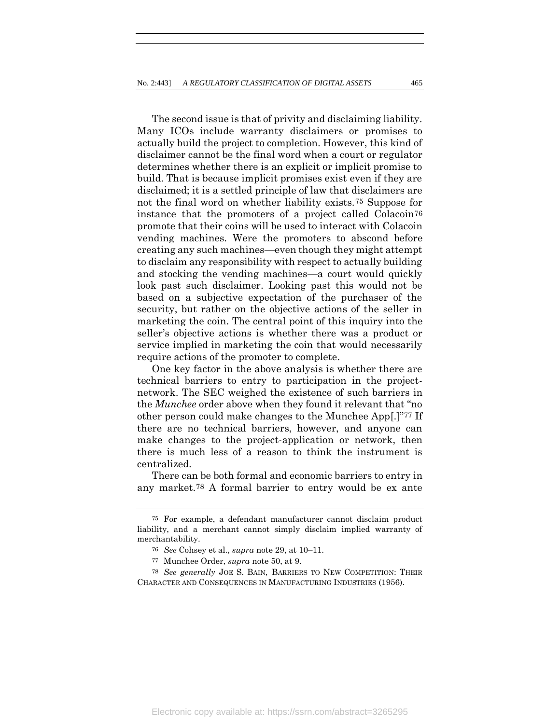The second issue is that of privity and disclaiming liability. Many ICOs include warranty disclaimers or promises to actually build the project to completion. However, this kind of disclaimer cannot be the final word when a court or regulator determines whether there is an explicit or implicit promise to build. That is because implicit promises exist even if they are disclaimed; it is a settled principle of law that disclaimers are not the final word on whether liability exists.75 Suppose for instance that the promoters of a project called Colacoin76 promote that their coins will be used to interact with Colacoin vending machines. Were the promoters to abscond before creating any such machines—even though they might attempt to disclaim any responsibility with respect to actually building and stocking the vending machines—a court would quickly look past such disclaimer. Looking past this would not be based on a subjective expectation of the purchaser of the security, but rather on the objective actions of the seller in marketing the coin. The central point of this inquiry into the seller's objective actions is whether there was a product or service implied in marketing the coin that would necessarily require actions of the promoter to complete.

One key factor in the above analysis is whether there are technical barriers to entry to participation in the projectnetwork. The SEC weighed the existence of such barriers in the *Munchee* order above when they found it relevant that "no other person could make changes to the Munchee App[.]"77 If there are no technical barriers, however, and anyone can make changes to the project-application or network, then there is much less of a reason to think the instrument is centralized.

There can be both formal and economic barriers to entry in any market.78 A formal barrier to entry would be ex ante

<sup>75</sup> For example, a defendant manufacturer cannot disclaim product liability, and a merchant cannot simply disclaim implied warranty of merchantability.

<sup>76</sup> *See* Cohsey et al., *supra* note [29,](#page-11-1) at 10–11.

<sup>77</sup> Munchee Order, *supra* note [50,](#page-15-0) at 9.

<sup>78</sup> *See generally* JOE S. BAIN, BARRIERS TO NEW COMPETITION: THEIR CHARACTER AND CONSEQUENCES IN MANUFACTURING INDUSTRIES (1956).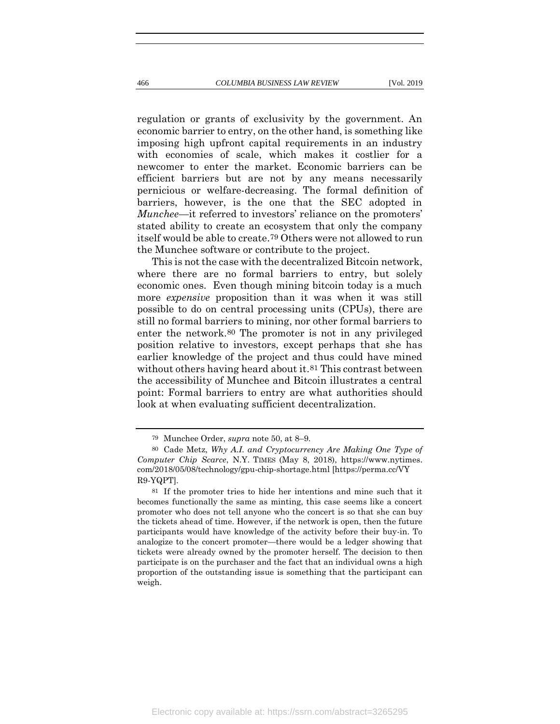regulation or grants of exclusivity by the government. An economic barrier to entry, on the other hand, is something like imposing high upfront capital requirements in an industry with economies of scale, which makes it costlier for a newcomer to enter the market. Economic barriers can be efficient barriers but are not by any means necessarily pernicious or welfare-decreasing. The formal definition of barriers, however, is the one that the SEC adopted in *Munchee*—it referred to investors' reliance on the promoters' stated ability to create an ecosystem that only the company itself would be able to create.79 Others were not allowed to run the Munchee software or contribute to the project.

This is not the case with the decentralized Bitcoin network, where there are no formal barriers to entry, but solely economic ones. Even though mining bitcoin today is a much more *expensive* proposition than it was when it was still possible to do on central processing units (CPUs), there are still no formal barriers to mining, nor other formal barriers to enter the network.80 The promoter is not in any privileged position relative to investors, except perhaps that she has earlier knowledge of the project and thus could have mined without others having heard about it.<sup>81</sup> This contrast between the accessibility of Munchee and Bitcoin illustrates a central point: Formal barriers to entry are what authorities should look at when evaluating sufficient decentralization.

<sup>79</sup> Munchee Order, *supra* note [50,](#page-15-0) at 8–9.

<sup>80</sup> Cade Metz, *Why A.I. and Cryptocurrency Are Making One Type of Computer Chip Scarce*, N.Y. TIMES (May 8, 2018), https://www.nytimes. com/2018/05/08/technology/gpu-chip-shortage.html [https://perma.cc/VY R9-YQPT].

<sup>81</sup> If the promoter tries to hide her intentions and mine such that it becomes functionally the same as minting, this case seems like a concert promoter who does not tell anyone who the concert is so that she can buy the tickets ahead of time. However, if the network is open, then the future participants would have knowledge of the activity before their buy-in. To analogize to the concert promoter—there would be a ledger showing that tickets were already owned by the promoter herself. The decision to then participate is on the purchaser and the fact that an individual owns a high proportion of the outstanding issue is something that the participant can weigh.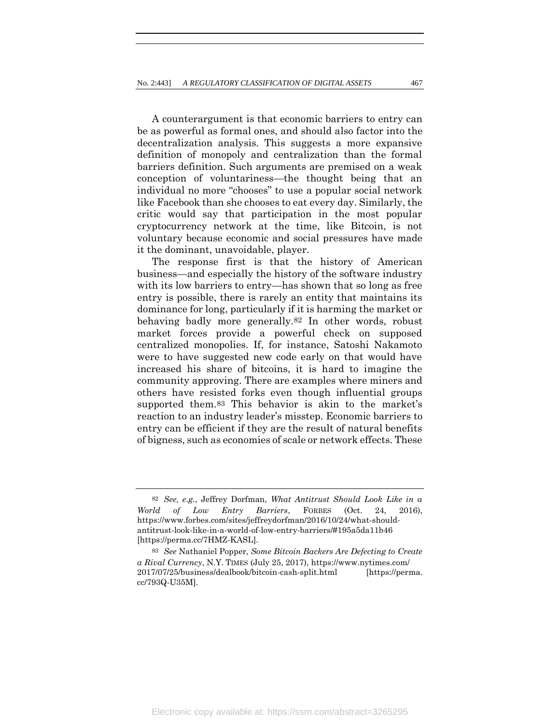A counterargument is that economic barriers to entry can be as powerful as formal ones, and should also factor into the decentralization analysis. This suggests a more expansive definition of monopoly and centralization than the formal barriers definition. Such arguments are premised on a weak conception of voluntariness—the thought being that an individual no more "chooses" to use a popular social network like Facebook than she chooses to eat every day. Similarly, the critic would say that participation in the most popular cryptocurrency network at the time, like Bitcoin, is not voluntary because economic and social pressures have made it the dominant, unavoidable, player.

The response first is that the history of American business—and especially the history of the software industry with its low barriers to entry—has shown that so long as free entry is possible, there is rarely an entity that maintains its dominance for long, particularly if it is harming the market or behaving badly more generally.82 In other words, robust market forces provide a powerful check on supposed centralized monopolies. If, for instance, Satoshi Nakamoto were to have suggested new code early on that would have increased his share of bitcoins, it is hard to imagine the community approving. There are examples where miners and others have resisted forks even though influential groups supported them.83 This behavior is akin to the market's reaction to an industry leader's misstep. Economic barriers to entry can be efficient if they are the result of natural benefits of bigness, such as economies of scale or network effects. These

<sup>82</sup> *See, e.g.*, Jeffrey Dorfman, *What Antitrust Should Look Like in a World of Low Entry Barriers*, FORBES (Oct. 24, 2016), https://www.forbes.com/sites/jeffreydorfman/2016/10/24/what-shouldantitrust-look-like-in-a-world-of-low-entry-barriers/#195a5da11b46 [https://perma.cc/7HMZ-KASL].

<sup>83</sup> *See* Nathaniel Popper, *Some Bitcoin Backers Are Defecting to Create a Rival Currency*, N.Y. TIMES (July 25, 2017), https://www.nytimes.com/ 2017/07/25/business/dealbook/bitcoin-cash-split.html [https://perma. cc/793Q-U35M].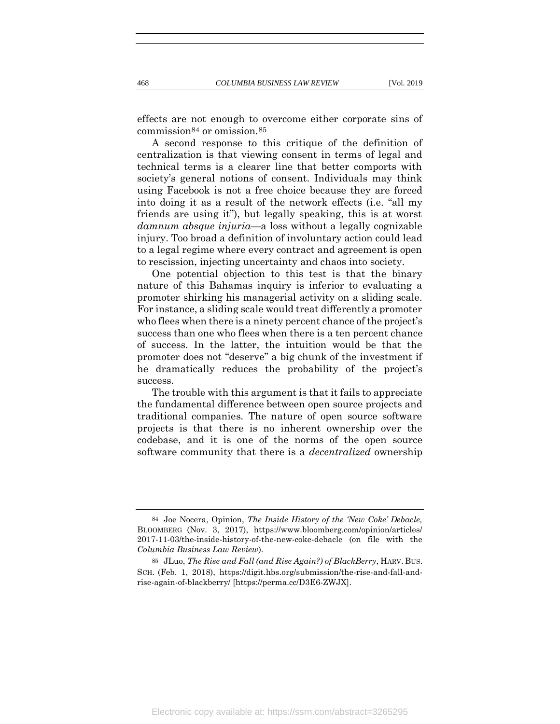effects are not enough to overcome either corporate sins of commission84 or omission.85

A second response to this critique of the definition of centralization is that viewing consent in terms of legal and technical terms is a clearer line that better comports with society's general notions of consent. Individuals may think using Facebook is not a free choice because they are forced into doing it as a result of the network effects (i.e. "all my friends are using it"), but legally speaking, this is at worst *damnum absque injuria—*a loss without a legally cognizable injury. Too broad a definition of involuntary action could lead to a legal regime where every contract and agreement is open to rescission, injecting uncertainty and chaos into society.

One potential objection to this test is that the binary nature of this Bahamas inquiry is inferior to evaluating a promoter shirking his managerial activity on a sliding scale. For instance, a sliding scale would treat differently a promoter who flees when there is a ninety percent chance of the project's success than one who flees when there is a ten percent chance of success. In the latter, the intuition would be that the promoter does not "deserve" a big chunk of the investment if he dramatically reduces the probability of the project's success.

The trouble with this argument is that it fails to appreciate the fundamental difference between open source projects and traditional companies. The nature of open source software projects is that there is no inherent ownership over the codebase, and it is one of the norms of the open source software community that there is a *decentralized* ownership

<sup>84</sup> Joe Nocera, Opinion, *The Inside History of the 'New Coke' Debacle,*  BLOOMBERG (Nov. 3, 2017), https://www.bloomberg.com/opinion/articles/ 2017-11-03/the-inside-history-of-the-new-coke-debacle (on file with the *Columbia Business Law Review*).

<sup>85</sup> JLuo, *The Rise and Fall (and Rise Again?) of BlackBerry*, HARV. BUS. SCH. (Feb. 1, 2018), https://digit.hbs.org/submission/the-rise-and-fall-andrise-again-of-blackberry/ [https://perma.cc/D3E6-ZWJX].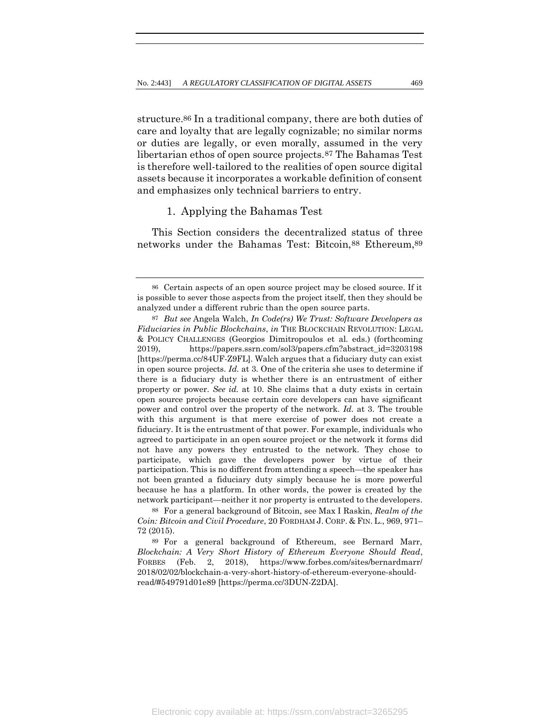structure.86 In a traditional company, there are both duties of care and loyalty that are legally cognizable; no similar norms or duties are legally, or even morally, assumed in the very libertarian ethos of open source projects.87 The Bahamas Test is therefore well-tailored to the realities of open source digital assets because it incorporates a workable definition of consent and emphasizes only technical barriers to entry.

# 1. Applying the Bahamas Test

This Section considers the decentralized status of three networks under the Bahamas Test: Bitcoin,88 Ethereum,89

<sup>86</sup> Certain aspects of an open source project may be closed source. If it is possible to sever those aspects from the project itself, then they should be analyzed under a different rubric than the open source parts.

<sup>87</sup> *But see* Angela Walch, *In Code(rs) We Trust: Software Developers as Fiduciaries in Public Blockchains*, *in* THE BLOCKCHAIN REVOLUTION: LEGAL & POLICY CHALLENGES (Georgios Dimitropoulos et al. eds.) (forthcoming 2019), https://papers.ssrn.com/sol3/papers.cfm?abstract\_id=3203198 [https://perma.cc/84UF-Z9FL]. Walch argues that a fiduciary duty can exist in open source projects. *Id.* at 3. One of the criteria she uses to determine if there is a fiduciary duty is whether there is an entrustment of either property or power. *See id.* at 10. She claims that a duty exists in certain open source projects because certain core developers can have significant power and control over the property of the network. *Id.* at 3. The trouble with this argument is that mere exercise of power does not create a fiduciary. It is the entrustment of that power. For example, individuals who agreed to participate in an open source project or the network it forms did not have any powers they entrusted to the network. They chose to participate, which gave the developers power by virtue of their participation. This is no different from attending a speech—the speaker has not been granted a fiduciary duty simply because he is more powerful because he has a platform. In other words, the power is created by the network participant—neither it nor property is entrusted to the developers.

<sup>88</sup> For a general background of Bitcoin, see Max I Raskin, *Realm of the Coin: Bitcoin and Civil Procedure*, 20 FORDHAM J. CORP. & FIN. L., 969, 971– 72 (2015).

<sup>89</sup> For a general background of Ethereum, see Bernard Marr, *Blockchain: A Very Short History of Ethereum Everyone Should Read*, FORBES (Feb. 2, 2018), https://www.forbes.com/sites/bernardmarr/ 2018/02/02/blockchain-a-very-short-history-of-ethereum-everyone-shouldread/#549791d01e89 [https://perma.cc/3DUN-Z2DA].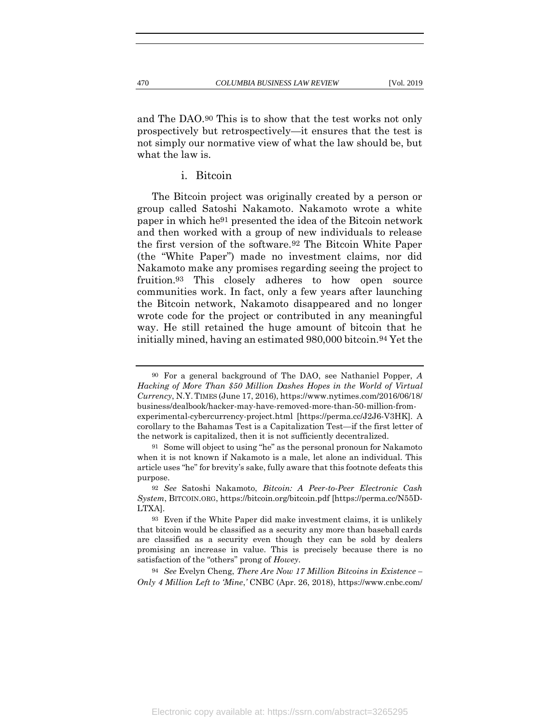and The DAO.90 This is to show that the test works not only prospectively but retrospectively—it ensures that the test is not simply our normative view of what the law should be, but what the law is.

i. Bitcoin

The Bitcoin project was originally created by a person or group called Satoshi Nakamoto. Nakamoto wrote a white paper in which he91 presented the idea of the Bitcoin network and then worked with a group of new individuals to release the first version of the software.92 The Bitcoin White Paper (the "White Paper") made no investment claims, nor did Nakamoto make any promises regarding seeing the project to fruition.93 This closely adheres to how open source communities work. In fact, only a few years after launching the Bitcoin network, Nakamoto disappeared and no longer wrote code for the project or contributed in any meaningful way. He still retained the huge amount of bitcoin that he initially mined, having an estimated 980,000 bitcoin.94 Yet the

94 *See* Evelyn Cheng, *There Are Now 17 Million Bitcoins in Existence – Only 4 Million Left to 'Mine*,*'* CNBC (Apr. 26, 2018), https://www.cnbc.com/

<sup>90</sup> For a general background of The DAO, see Nathaniel Popper, *A Hacking of More Than \$50 Million Dashes Hopes in the World of Virtual Currency*, N.Y.TIMES (June 17, 2016), https://www.nytimes.com/2016/06/18/ business/dealbook/hacker-may-have-removed-more-than-50-million-fromexperimental-cybercurrency-project.html [https://perma.cc/J2J6-V3HK]. A corollary to the Bahamas Test is a Capitalization Test—if the first letter of the network is capitalized, then it is not sufficiently decentralized.

<sup>91</sup> Some will object to using "he" as the personal pronoun for Nakamoto when it is not known if Nakamoto is a male, let alone an individual. This article uses "he" for brevity's sake, fully aware that this footnote defeats this purpose.

<sup>92</sup> *See* Satoshi Nakamoto, *Bitcoin: A Peer-to-Peer Electronic Cash System*, BITCOIN.ORG, https://bitcoin.org/bitcoin.pdf [https://perma.cc/N55D-LTXA].

<sup>93</sup> Even if the White Paper did make investment claims, it is unlikely that bitcoin would be classified as a security any more than baseball cards are classified as a security even though they can be sold by dealers promising an increase in value. This is precisely because there is no satisfaction of the "others" prong of *Howey*.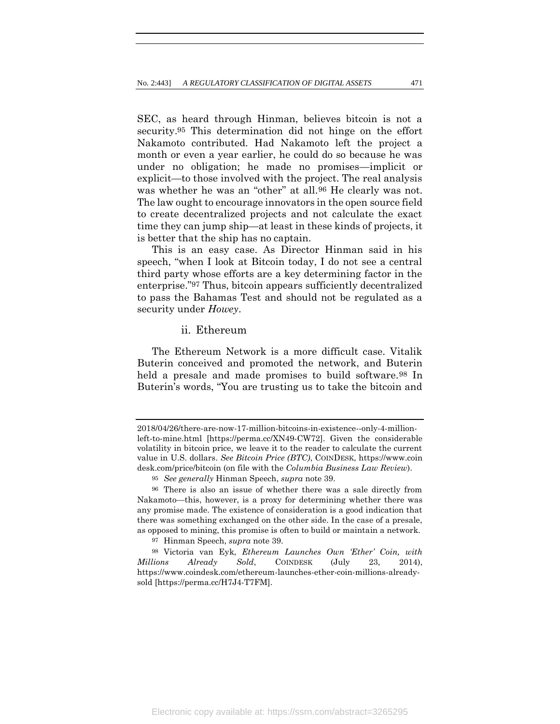SEC, as heard through Hinman, believes bitcoin is not a security.95 This determination did not hinge on the effort Nakamoto contributed. Had Nakamoto left the project a month or even a year earlier, he could do so because he was under no obligation; he made no promises—implicit or explicit—to those involved with the project. The real analysis was whether he was an "other" at all.96 He clearly was not. The law ought to encourage innovators in the open source field to create decentralized projects and not calculate the exact time they can jump ship—at least in these kinds of projects, it is better that the ship has no captain.

This is an easy case. As Director Hinman said in his speech, "when I look at Bitcoin today, I do not see a central third party whose efforts are a key determining factor in the enterprise."97 Thus, bitcoin appears sufficiently decentralized to pass the Bahamas Test and should not be regulated as a security under *Howey*.

### ii. Ethereum

The Ethereum Network is a more difficult case. Vitalik Buterin conceived and promoted the network, and Buterin held a presale and made promises to build software.<sup>98</sup> In Buterin's words, "You are trusting us to take the bitcoin and

<sup>2018/04/26/</sup>there-are-now-17-million-bitcoins-in-existence--only-4-millionleft-to-mine.html [https://perma.cc/XN49-CW72]. Given the considerable volatility in bitcoin price, we leave it to the reader to calculate the current value in U.S. dollars. *See Bitcoin Price (BTC)*, COINDESK, https://www.coin desk.com/price/bitcoin (on file with the *Columbia Business Law Review*).

<sup>95</sup> *See generally* Hinman Speech, *supra* note [39.](#page-12-0)

<sup>96</sup> There is also an issue of whether there was a sale directly from Nakamoto—this, however, is a proxy for determining whether there was any promise made. The existence of consideration is a good indication that there was something exchanged on the other side. In the case of a presale, as opposed to mining, this promise is often to build or maintain a network.

<sup>97</sup> Hinman Speech, *supra* note [39.](#page-12-0)

<sup>98</sup> Victoria van Eyk, *Ethereum Launches Own 'Ether' Coin, with Millions Already Sold*, COINDESK (July 23, 2014), https://www.coindesk.com/ethereum-launches-ether-coin-millions-alreadysold [https://perma.cc/H7J4-T7FM].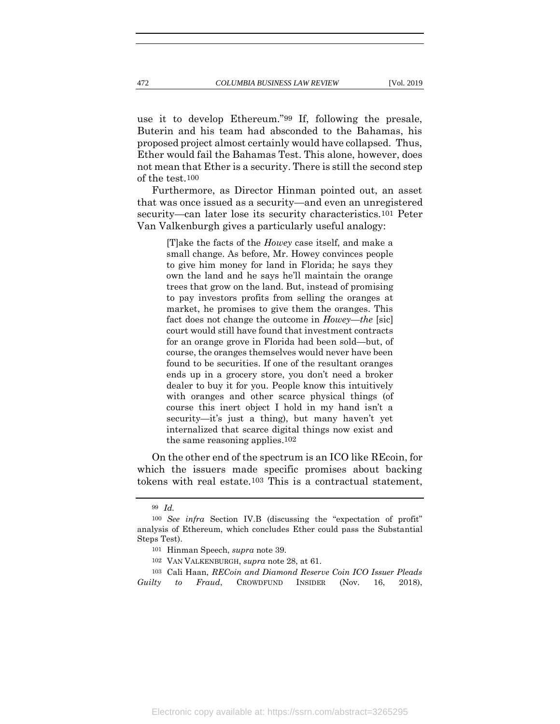use it to develop Ethereum."99 If, following the presale, Buterin and his team had absconded to the Bahamas, his proposed project almost certainly would have collapsed. Thus, Ether would fail the Bahamas Test. This alone, however, does not mean that Ether is a security. There is still the second step of the test.100

Furthermore, as Director Hinman pointed out, an asset that was once issued as a security—and even an unregistered security—can later lose its security characteristics.101 Peter Van Valkenburgh gives a particularly useful analogy:

> [T]ake the facts of the *Howey* case itself, and make a small change. As before, Mr. Howey convinces people to give him money for land in Florida; he says they own the land and he says he'll maintain the orange trees that grow on the land. But, instead of promising to pay investors profits from selling the oranges at market, he promises to give them the oranges. This fact does not change the outcome in *Howey*—*the* [sic] court would still have found that investment contracts for an orange grove in Florida had been sold—but, of course, the oranges themselves would never have been found to be securities. If one of the resultant oranges ends up in a grocery store, you don't need a broker dealer to buy it for you. People know this intuitively with oranges and other scarce physical things (of course this inert object I hold in my hand isn't a security—it's just a thing), but many haven't yet internalized that scarce digital things now exist and the same reasoning applies.102

On the other end of the spectrum is an ICO like REcoin, for which the issuers made specific promises about backing tokens with real estate.103 This is a contractual statement,

103 Cali Haan, *RECoin and Diamond Reserve Coin ICO Issuer Pleads Guilty to Fraud*, CROWDFUND INSIDER (Nov. 16, 2018),

<sup>99</sup> *Id.*

<sup>100</sup> *See infra* Section IV.B (discussing the "expectation of profit" analysis of Ethereum, which concludes Ether could pass the Substantial Steps Test).

<sup>101</sup> Hinman Speech, *supra* note [39.](#page-12-0)

<sup>102</sup> VAN VALKENBURGH, *supra* note [28,](#page-11-0) at 61.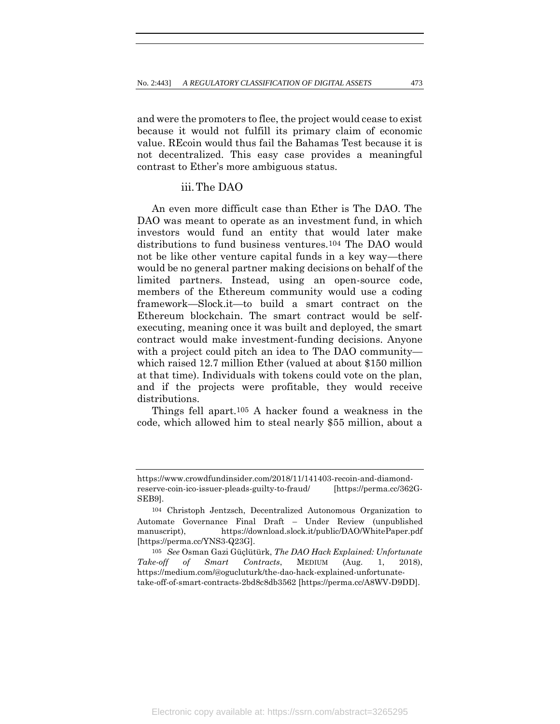and were the promoters to flee, the project would cease to exist because it would not fulfill its primary claim of economic value. REcoin would thus fail the Bahamas Test because it is not decentralized. This easy case provides a meaningful contrast to Ether's more ambiguous status.

# iii.The DAO

An even more difficult case than Ether is The DAO. The DAO was meant to operate as an investment fund, in which investors would fund an entity that would later make distributions to fund business ventures.104 The DAO would not be like other venture capital funds in a key way—there would be no general partner making decisions on behalf of the limited partners. Instead, using an open-source code, members of the Ethereum community would use a coding framework—Slock.it—to build a smart contract on the Ethereum blockchain. The smart contract would be selfexecuting, meaning once it was built and deployed, the smart contract would make investment-funding decisions. Anyone with a project could pitch an idea to The DAO community which raised 12.7 million Ether (valued at about \$150 million at that time). Individuals with tokens could vote on the plan, and if the projects were profitable, they would receive distributions.

Things fell apart.105 A hacker found a weakness in the code, which allowed him to steal nearly \$55 million, about a

https://www.crowdfundinsider.com/2018/11/141403-recoin-and-diamondreserve-coin-ico-issuer-pleads-guilty-to-fraud/ [https://perma.cc/362G-SEB9].

<sup>104</sup> Christoph Jentzsch, Decentralized Autonomous Organization to Automate Governance Final Draft – Under Review (unpublished manuscript), https://download.slock.it/public/DAO/WhitePaper.pdf [https://perma.cc/YNS3-Q23G].

<sup>105</sup> *See* Osman Gazi Güçlütürk, *The DAO Hack Explained: Unfortunate Take-off of Smart Contracts*, MEDIUM (Aug. 1, 2018), https://medium.com/@ogucluturk/the-dao-hack-explained-unfortunatetake-off-of-smart-contracts-2bd8c8db3562 [https://perma.cc/A8WV-D9DD].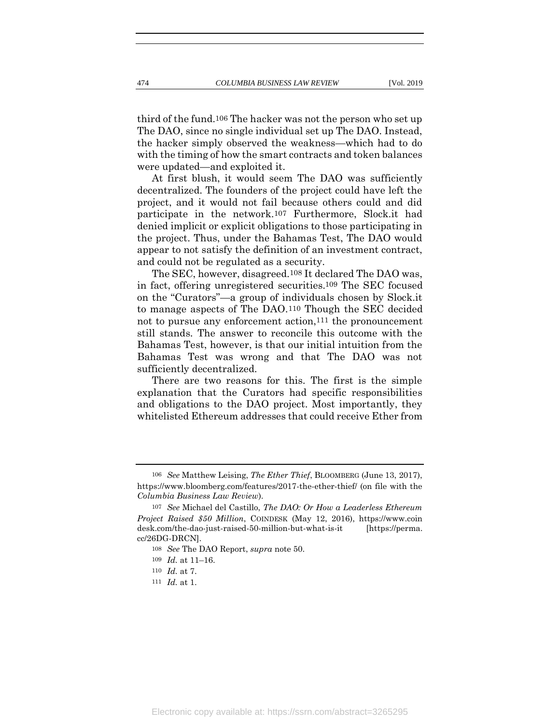third of the fund.106 The hacker was not the person who set up The DAO, since no single individual set up The DAO. Instead, the hacker simply observed the weakness—which had to do with the timing of how the smart contracts and token balances were updated—and exploited it.

At first blush, it would seem The DAO was sufficiently decentralized. The founders of the project could have left the project, and it would not fail because others could and did participate in the network.107 Furthermore, Slock.it had denied implicit or explicit obligations to those participating in the project. Thus, under the Bahamas Test, The DAO would appear to not satisfy the definition of an investment contract, and could not be regulated as a security.

The SEC, however, disagreed.108 It declared The DAO was, in fact, offering unregistered securities.109 The SEC focused on the "Curators"—a group of individuals chosen by Slock.it to manage aspects of The DAO.110 Though the SEC decided not to pursue any enforcement action,111 the pronouncement still stands. The answer to reconcile this outcome with the Bahamas Test, however, is that our initial intuition from the Bahamas Test was wrong and that The DAO was not sufficiently decentralized.

There are two reasons for this. The first is the simple explanation that the Curators had specific responsibilities and obligations to the DAO project. Most importantly, they whitelisted Ethereum addresses that could receive Ether from

<sup>106</sup> *See* Matthew Leising, *The Ether Thief*, BLOOMBERG (June 13, 2017), https://www.bloomberg.com/features/2017-the-ether-thief/ (on file with the *Columbia Business Law Review*).

<sup>107</sup> *See* Michael del Castillo, *The DAO: Or How a Leaderless Ethereum Project Raised \$50 Million*, COINDESK (May 12, 2016), https://www.coin desk.com/the-dao-just-raised-50-million-but-what-is-it [https://perma. cc/26DG-DRCN].

<sup>108</sup> *See* The DAO Report, *supra* note [50.](#page-15-0)

<sup>109</sup> *Id.* at 11–16.

<sup>110</sup> *Id.* at 7.

<sup>111</sup> *Id.* at 1.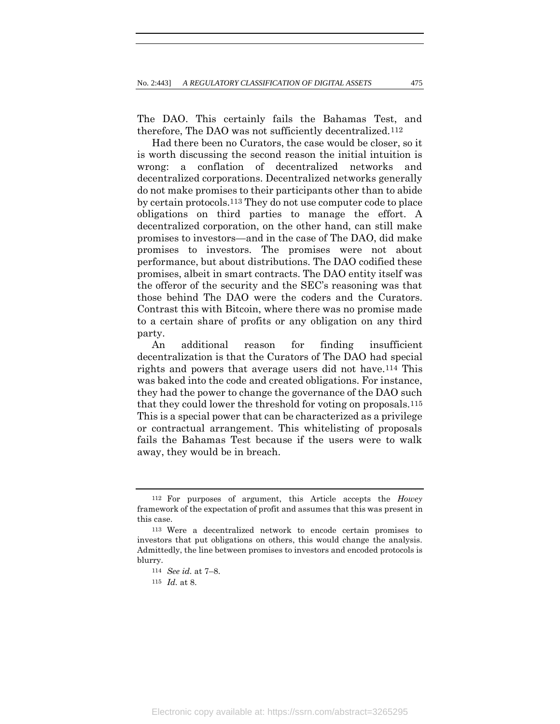The DAO. This certainly fails the Bahamas Test, and therefore, The DAO was not sufficiently decentralized.112

Had there been no Curators, the case would be closer, so it is worth discussing the second reason the initial intuition is wrong: a conflation of decentralized networks and decentralized corporations. Decentralized networks generally do not make promises to their participants other than to abide by certain protocols.113 They do not use computer code to place obligations on third parties to manage the effort. A decentralized corporation, on the other hand, can still make promises to investors—and in the case of The DAO, did make promises to investors. The promises were not about performance, but about distributions. The DAO codified these promises, albeit in smart contracts. The DAO entity itself was the offeror of the security and the SEC's reasoning was that those behind The DAO were the coders and the Curators. Contrast this with Bitcoin, where there was no promise made to a certain share of profits or any obligation on any third party.

An additional reason for finding insufficient decentralization is that the Curators of The DAO had special rights and powers that average users did not have.114 This was baked into the code and created obligations. For instance, they had the power to change the governance of the DAO such that they could lower the threshold for voting on proposals.115 This is a special power that can be characterized as a privilege or contractual arrangement. This whitelisting of proposals fails the Bahamas Test because if the users were to walk away, they would be in breach.

<sup>112</sup> For purposes of argument, this Article accepts the *Howey*  framework of the expectation of profit and assumes that this was present in this case.

<sup>113</sup> Were a decentralized network to encode certain promises to investors that put obligations on others, this would change the analysis. Admittedly, the line between promises to investors and encoded protocols is blurry.

<sup>114</sup> *See id.* at 7–8.

<sup>115</sup> *Id.* at 8.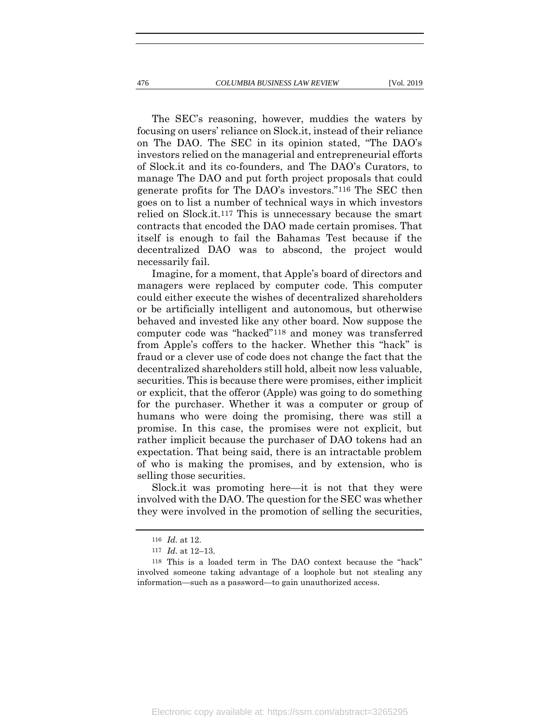The SEC's reasoning, however, muddies the waters by focusing on users' reliance on Slock.it, instead of their reliance on The DAO. The SEC in its opinion stated, "The DAO's investors relied on the managerial and entrepreneurial efforts of Slock.it and its co-founders, and The DAO's Curators, to manage The DAO and put forth project proposals that could generate profits for The DAO's investors."116 The SEC then goes on to list a number of technical ways in which investors relied on Slock.it.117 This is unnecessary because the smart contracts that encoded the DAO made certain promises. That itself is enough to fail the Bahamas Test because if the decentralized DAO was to abscond, the project would necessarily fail.

Imagine, for a moment, that Apple's board of directors and managers were replaced by computer code. This computer could either execute the wishes of decentralized shareholders or be artificially intelligent and autonomous, but otherwise behaved and invested like any other board. Now suppose the computer code was "hacked"118 and money was transferred from Apple's coffers to the hacker. Whether this "hack" is fraud or a clever use of code does not change the fact that the decentralized shareholders still hold, albeit now less valuable, securities. This is because there were promises, either implicit or explicit, that the offeror (Apple) was going to do something for the purchaser. Whether it was a computer or group of humans who were doing the promising, there was still a promise. In this case, the promises were not explicit, but rather implicit because the purchaser of DAO tokens had an expectation. That being said, there is an intractable problem of who is making the promises, and by extension, who is selling those securities.

Slock.it was promoting here—it is not that they were involved with the DAO. The question for the SEC was whether they were involved in the promotion of selling the securities,

<sup>116</sup> *Id.* at 12.

<sup>117</sup> *Id.* at 12–13.

<sup>118</sup> This is a loaded term in The DAO context because the "hack" involved someone taking advantage of a loophole but not stealing any information—such as a password—to gain unauthorized access.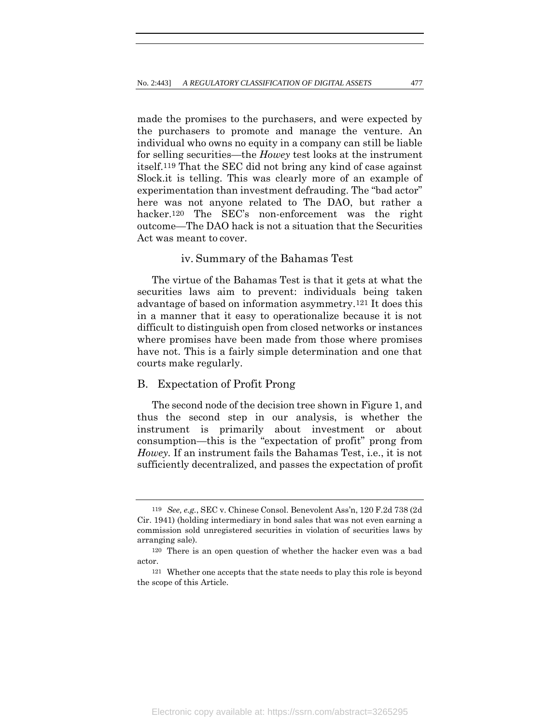made the promises to the purchasers, and were expected by the purchasers to promote and manage the venture. An individual who owns no equity in a company can still be liable for selling securities—the *Howey* test looks at the instrument itself.119 That the SEC did not bring any kind of case against Slock.it is telling. This was clearly more of an example of experimentation than investment defrauding. The "bad actor" here was not anyone related to The DAO, but rather a hacker.<sup>120</sup> The SEC's non-enforcement was the right outcome—The DAO hack is not a situation that the Securities Act was meant to cover.

# iv. Summary of the Bahamas Test

The virtue of the Bahamas Test is that it gets at what the securities laws aim to prevent: individuals being taken advantage of based on information asymmetry.121 It does this in a manner that it easy to operationalize because it is not difficult to distinguish open from closed networks or instances where promises have been made from those where promises have not. This is a fairly simple determination and one that courts make regularly.

## B. Expectation of Profit Prong

The second node of the decision tree shown in Figure 1, and thus the second step in our analysis, is whether the instrument is primarily about investment or about consumption—this is the "expectation of profit" prong from *Howey.* If an instrument fails the Bahamas Test, i.e., it is not sufficiently decentralized, and passes the expectation of profit

<sup>119</sup> *See, e.g.*, SEC v. Chinese Consol. Benevolent Ass'n, 120 F.2d 738 (2d Cir. 1941) (holding intermediary in bond sales that was not even earning a commission sold unregistered securities in violation of securities laws by arranging sale).

<sup>120</sup> There is an open question of whether the hacker even was a bad actor.

<sup>121</sup> Whether one accepts that the state needs to play this role is beyond the scope of this Article.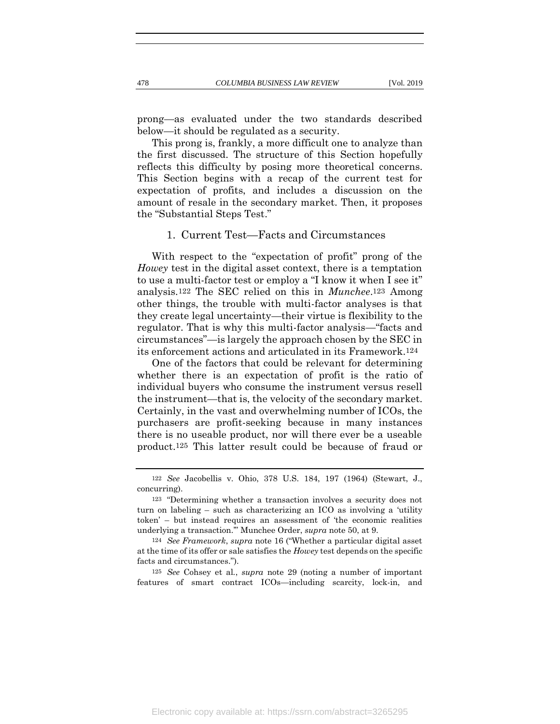prong—as evaluated under the two standards described below—it should be regulated as a security.

This prong is, frankly, a more difficult one to analyze than the first discussed. The structure of this Section hopefully reflects this difficulty by posing more theoretical concerns. This Section begins with a recap of the current test for expectation of profits, and includes a discussion on the amount of resale in the secondary market. Then, it proposes the "Substantial Steps Test."

## 1. Current Test—Facts and Circumstances

With respect to the "expectation of profit" prong of the *Howey* test in the digital asset context, there is a temptation to use a multi-factor test or employ a "I know it when I see it" analysis.122 The SEC relied on this in *Munchee*.123 Among other things, the trouble with multi-factor analyses is that they create legal uncertainty—their virtue is flexibility to the regulator. That is why this multi-factor analysis—"facts and circumstances"—is largely the approach chosen by the SEC in its enforcement actions and articulated in its Framework.124

One of the factors that could be relevant for determining whether there is an expectation of profit is the ratio of individual buyers who consume the instrument versus resell the instrument—that is, the velocity of the secondary market. Certainly, in the vast and overwhelming number of ICOs, the purchasers are profit-seeking because in many instances there is no useable product, nor will there ever be a useable product.125 This latter result could be because of fraud or

125 *See* Cohsey et al*.*, *supra* note [29](#page-11-1) (noting a number of important features of smart contract ICOs—including scarcity, lock-in, and

<sup>122</sup> *See* Jacobellis v. Ohio, 378 U.S. 184, 197 (1964) (Stewart, J., concurring).

<sup>123</sup> "Determining whether a transaction involves a security does not turn on labeling – such as characterizing an ICO as involving a 'utility token' – but instead requires an assessment of 'the economic realities underlying a transaction.'" Munchee Order, *supra* note [50,](#page-15-0) at 9.

<sup>124</sup> *See Framework*, *supra* note [16](#page-7-0) ("Whether a particular digital asset at the time of its offer or sale satisfies the *Howey* test depends on the specific facts and circumstances.").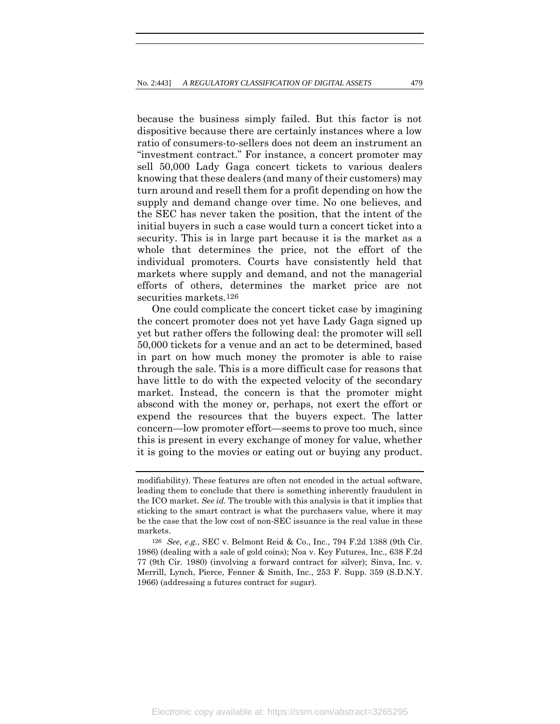because the business simply failed. But this factor is not dispositive because there are certainly instances where a low ratio of consumers-to-sellers does not deem an instrument an "investment contract." For instance, a concert promoter may sell 50,000 Lady Gaga concert tickets to various dealers knowing that these dealers (and many of their customers) may turn around and resell them for a profit depending on how the supply and demand change over time. No one believes, and the SEC has never taken the position, that the intent of the initial buyers in such a case would turn a concert ticket into a security. This is in large part because it is the market as a whole that determines the price, not the effort of the individual promoters. Courts have consistently held that markets where supply and demand, and not the managerial efforts of others, determines the market price are not securities markets.126

One could complicate the concert ticket case by imagining the concert promoter does not yet have Lady Gaga signed up yet but rather offers the following deal: the promoter will sell 50,000 tickets for a venue and an act to be determined, based in part on how much money the promoter is able to raise through the sale. This is a more difficult case for reasons that have little to do with the expected velocity of the secondary market. Instead, the concern is that the promoter might abscond with the money or, perhaps, not exert the effort or expend the resources that the buyers expect. The latter concern—low promoter effort—seems to prove too much, since this is present in every exchange of money for value, whether it is going to the movies or eating out or buying any product.

modifiability). These features are often not encoded in the actual software, leading them to conclude that there is something inherently fraudulent in the ICO market. *See id.* The trouble with this analysis is that it implies that sticking to the smart contract is what the purchasers value, where it may be the case that the low cost of non-SEC issuance is the real value in these markets.

<sup>126</sup> *See, e.g.*, SEC v. Belmont Reid & Co., Inc., 794 F.2d 1388 (9th Cir. 1986) (dealing with a sale of gold coins); Noa v. Key Futures, Inc., 638 F.2d 77 (9th Cir. 1980) (involving a forward contract for silver); Sinva, Inc. v. Merrill, Lynch, Pierce, Fenner & Smith, Inc., 253 F. Supp. 359 (S.D.N.Y. 1966) (addressing a futures contract for sugar).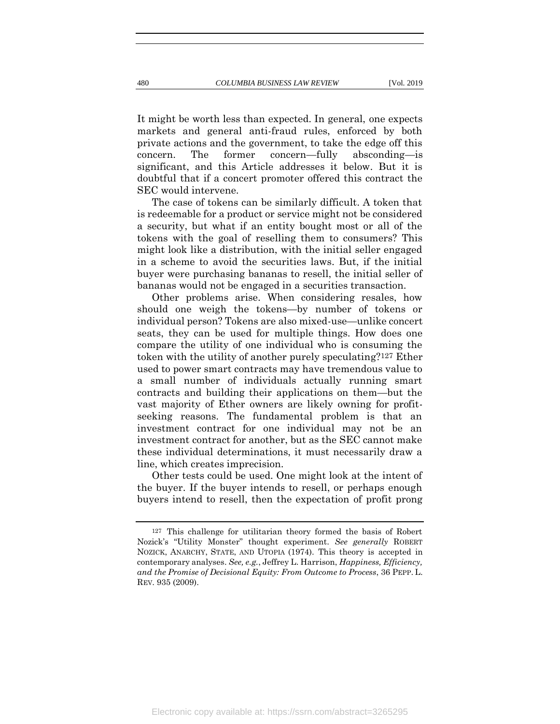It might be worth less than expected. In general, one expects markets and general anti-fraud rules, enforced by both private actions and the government, to take the edge off this concern. The former concern—fully absconding—is significant, and this Article addresses it below. But it is doubtful that if a concert promoter offered this contract the SEC would intervene.

The case of tokens can be similarly difficult. A token that is redeemable for a product or service might not be considered a security, but what if an entity bought most or all of the tokens with the goal of reselling them to consumers? This might look like a distribution, with the initial seller engaged in a scheme to avoid the securities laws. But, if the initial buyer were purchasing bananas to resell, the initial seller of bananas would not be engaged in a securities transaction.

Other problems arise. When considering resales, how should one weigh the tokens—by number of tokens or individual person? Tokens are also mixed-use—unlike concert seats, they can be used for multiple things. How does one compare the utility of one individual who is consuming the token with the utility of another purely speculating?127 Ether used to power smart contracts may have tremendous value to a small number of individuals actually running smart contracts and building their applications on them—but the vast majority of Ether owners are likely owning for profitseeking reasons. The fundamental problem is that an investment contract for one individual may not be an investment contract for another, but as the SEC cannot make these individual determinations, it must necessarily draw a line, which creates imprecision.

Other tests could be used. One might look at the intent of the buyer. If the buyer intends to resell, or perhaps enough buyers intend to resell, then the expectation of profit prong

<sup>127</sup> This challenge for utilitarian theory formed the basis of Robert Nozick's "Utility Monster" thought experiment. *See generally* ROBERT NOZICK, ANARCHY, STATE, AND UTOPIA (1974). This theory is accepted in contemporary analyses. *See, e.g.*, Jeffrey L. Harrison, *Happiness, Efficiency, and the Promise of Decisional Equity: From Outcome to Process*, 36 PEPP. L. REV. 935 (2009).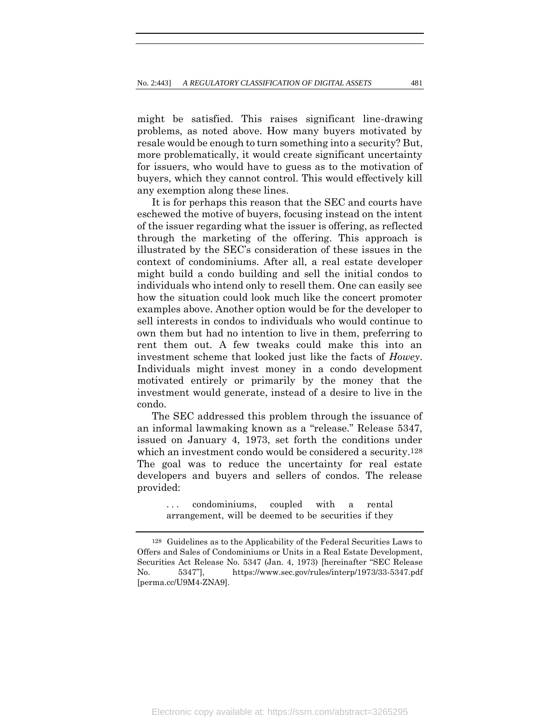might be satisfied. This raises significant line-drawing problems, as noted above. How many buyers motivated by resale would be enough to turn something into a security? But, more problematically, it would create significant uncertainty for issuers, who would have to guess as to the motivation of buyers, which they cannot control. This would effectively kill any exemption along these lines.

It is for perhaps this reason that the SEC and courts have eschewed the motive of buyers, focusing instead on the intent of the issuer regarding what the issuer is offering, as reflected through the marketing of the offering. This approach is illustrated by the SEC's consideration of these issues in the context of condominiums. After all, a real estate developer might build a condo building and sell the initial condos to individuals who intend only to resell them. One can easily see how the situation could look much like the concert promoter examples above. Another option would be for the developer to sell interests in condos to individuals who would continue to own them but had no intention to live in them, preferring to rent them out. A few tweaks could make this into an investment scheme that looked just like the facts of *Howey*. Individuals might invest money in a condo development motivated entirely or primarily by the money that the investment would generate, instead of a desire to live in the condo.

The SEC addressed this problem through the issuance of an informal lawmaking known as a "release." Release 5347, issued on January 4, 1973, set forth the conditions under which an investment condo would be considered a security.128 The goal was to reduce the uncertainty for real estate developers and buyers and sellers of condos. The release provided:

> <span id="page-39-0"></span>... condominiums, coupled with a rental arrangement, will be deemed to be securities if they

<sup>128</sup> Guidelines as to the Applicability of the Federal Securities Laws to Offers and Sales of Condominiums or Units in a Real Estate Development, Securities Act Release No. 5347 (Jan. 4, 1973) [hereinafter "SEC Release No. 5347"], https://www.sec.gov/rules/interp/1973/33-5347.pdf [perma.cc/U9M4-ZNA9].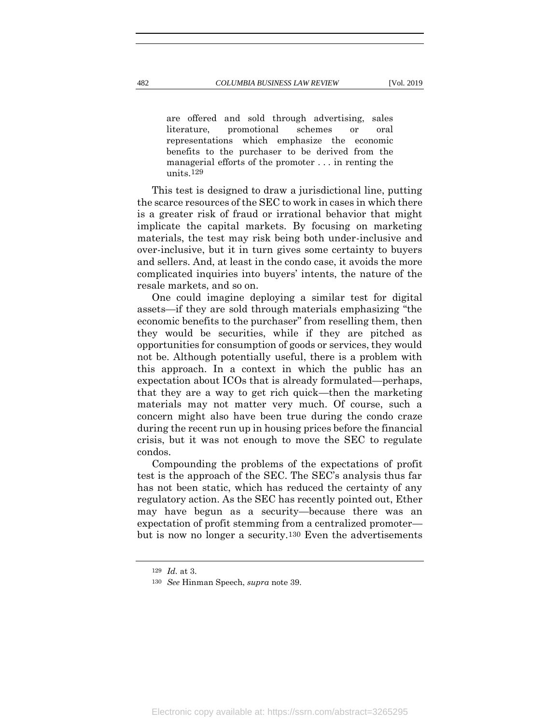are offered and sold through advertising, sales literature, promotional schemes or oral representations which emphasize the economic benefits to the purchaser to be derived from the managerial efforts of the promoter . . . in renting the units.129

This test is designed to draw a jurisdictional line, putting the scarce resources of the SEC to work in cases in which there is a greater risk of fraud or irrational behavior that might implicate the capital markets. By focusing on marketing materials, the test may risk being both under-inclusive and over-inclusive, but it in turn gives some certainty to buyers and sellers. And, at least in the condo case, it avoids the more complicated inquiries into buyers' intents, the nature of the resale markets, and so on.

One could imagine deploying a similar test for digital assets—if they are sold through materials emphasizing "the economic benefits to the purchaser" from reselling them, then they would be securities, while if they are pitched as opportunities for consumption of goods or services, they would not be. Although potentially useful, there is a problem with this approach. In a context in which the public has an expectation about ICOs that is already formulated—perhaps, that they are a way to get rich quick—then the marketing materials may not matter very much. Of course, such a concern might also have been true during the condo craze during the recent run up in housing prices before the financial crisis, but it was not enough to move the SEC to regulate condos.

Compounding the problems of the expectations of profit test is the approach of the SEC. The SEC's analysis thus far has not been static, which has reduced the certainty of any regulatory action. As the SEC has recently pointed out, Ether may have begun as a security—because there was an expectation of profit stemming from a centralized promoter but is now no longer a security.130 Even the advertisements

<sup>129</sup> *Id.* at 3.

<sup>130</sup> *See* Hinman Speech, *supra* note [39.](#page-12-0)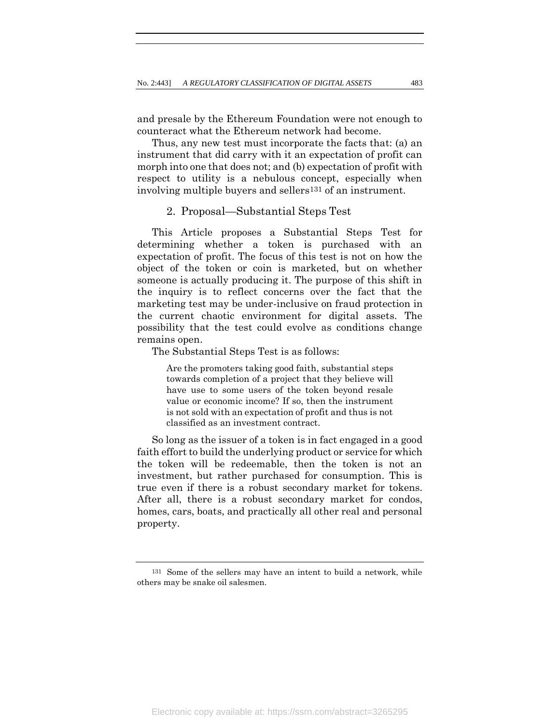and presale by the Ethereum Foundation were not enough to counteract what the Ethereum network had become.

Thus, any new test must incorporate the facts that: (a) an instrument that did carry with it an expectation of profit can morph into one that does not; and (b) expectation of profit with respect to utility is a nebulous concept, especially when involving multiple buyers and sellers131 of an instrument.

# 2. Proposal—Substantial Steps Test

This Article proposes a Substantial Steps Test for determining whether a token is purchased with an expectation of profit. The focus of this test is not on how the object of the token or coin is marketed, but on whether someone is actually producing it. The purpose of this shift in the inquiry is to reflect concerns over the fact that the marketing test may be under-inclusive on fraud protection in the current chaotic environment for digital assets. The possibility that the test could evolve as conditions change remains open.

The Substantial Steps Test is as follows:

Are the promoters taking good faith, substantial steps towards completion of a project that they believe will have use to some users of the token beyond resale value or economic income? If so, then the instrument is not sold with an expectation of profit and thus is not classified as an investment contract.

So long as the issuer of a token is in fact engaged in a good faith effort to build the underlying product or service for which the token will be redeemable, then the token is not an investment, but rather purchased for consumption. This is true even if there is a robust secondary market for tokens. After all, there is a robust secondary market for condos, homes, cars, boats, and practically all other real and personal property.

<sup>131</sup> Some of the sellers may have an intent to build a network, while others may be snake oil salesmen.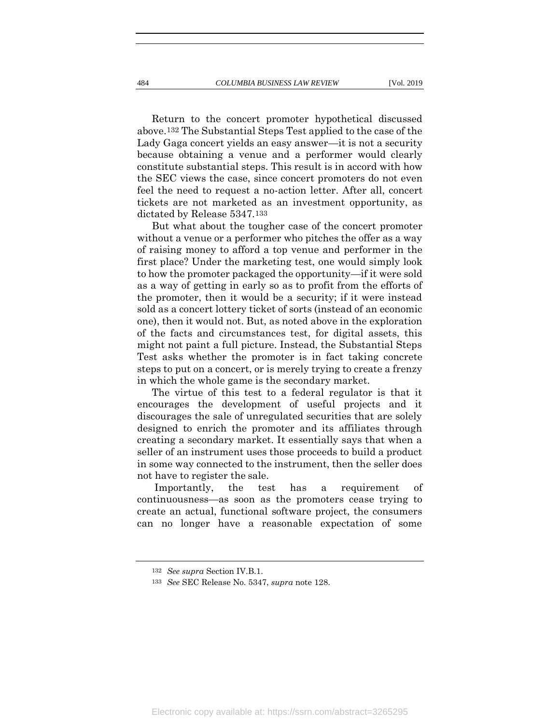Return to the concert promoter hypothetical discussed above.132 The Substantial Steps Test applied to the case of the Lady Gaga concert yields an easy answer—it is not a security because obtaining a venue and a performer would clearly constitute substantial steps. This result is in accord with how the SEC views the case, since concert promoters do not even feel the need to request a no-action letter. After all, concert tickets are not marketed as an investment opportunity, as dictated by Release 5347.133

But what about the tougher case of the concert promoter without a venue or a performer who pitches the offer as a way of raising money to afford a top venue and performer in the first place? Under the marketing test, one would simply look to how the promoter packaged the opportunity—if it were sold as a way of getting in early so as to profit from the efforts of the promoter, then it would be a security; if it were instead sold as a concert lottery ticket of sorts (instead of an economic one), then it would not. But, as noted above in the exploration of the facts and circumstances test, for digital assets, this might not paint a full picture. Instead, the Substantial Steps Test asks whether the promoter is in fact taking concrete steps to put on a concert, or is merely trying to create a frenzy in which the whole game is the secondary market.

The virtue of this test to a federal regulator is that it encourages the development of useful projects and it discourages the sale of unregulated securities that are solely designed to enrich the promoter and its affiliates through creating a secondary market. It essentially says that when a seller of an instrument uses those proceeds to build a product in some way connected to the instrument, then the seller does not have to register the sale.

Importantly, the test has a requirement of continuousness—as soon as the promoters cease trying to create an actual, functional software project, the consumers can no longer have a reasonable expectation of some

<sup>132</sup> *See supra* Section IV.B.1.

<sup>133</sup> *See* SEC Release No. 5347, *supra* note [128.](#page-39-0)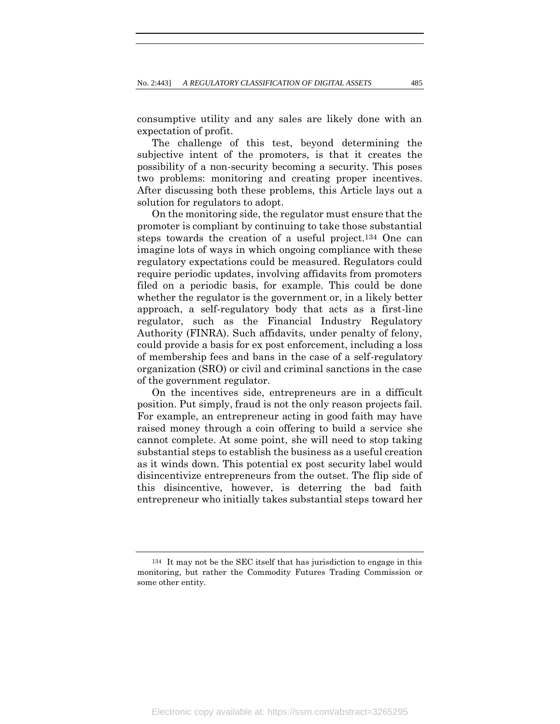consumptive utility and any sales are likely done with an expectation of profit.

The challenge of this test, beyond determining the subjective intent of the promoters, is that it creates the possibility of a non-security becoming a security. This poses two problems: monitoring and creating proper incentives. After discussing both these problems, this Article lays out a solution for regulators to adopt.

On the monitoring side, the regulator must ensure that the promoter is compliant by continuing to take those substantial steps towards the creation of a useful project.134 One can imagine lots of ways in which ongoing compliance with these regulatory expectations could be measured. Regulators could require periodic updates, involving affidavits from promoters filed on a periodic basis, for example. This could be done whether the regulator is the government or, in a likely better approach, a self-regulatory body that acts as a first-line regulator, such as the Financial Industry Regulatory Authority (FINRA). Such affidavits, under penalty of felony, could provide a basis for ex post enforcement, including a loss of membership fees and bans in the case of a self-regulatory organization (SRO) or civil and criminal sanctions in the case of the government regulator.

On the incentives side, entrepreneurs are in a difficult position. Put simply, fraud is not the only reason projects fail. For example, an entrepreneur acting in good faith may have raised money through a coin offering to build a service she cannot complete. At some point, she will need to stop taking substantial steps to establish the business as a useful creation as it winds down. This potential ex post security label would disincentivize entrepreneurs from the outset. The flip side of this disincentive, however, is deterring the bad faith entrepreneur who initially takes substantial steps toward her

<sup>134</sup> It may not be the SEC itself that has jurisdiction to engage in this monitoring, but rather the Commodity Futures Trading Commission or some other entity.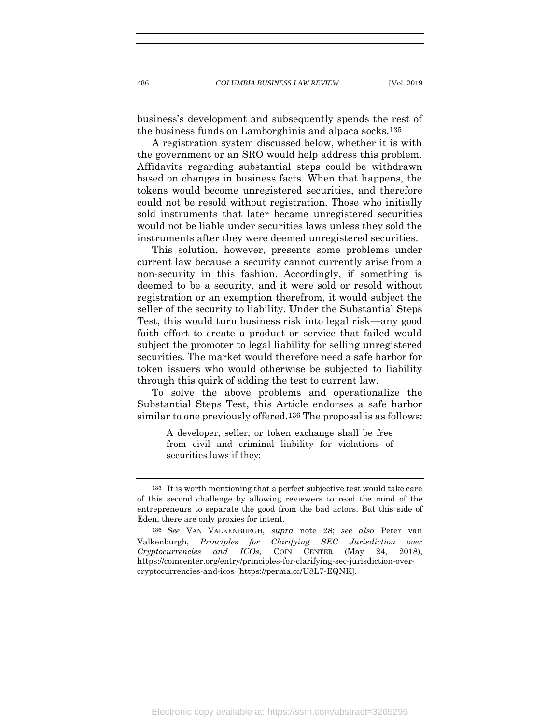business's development and subsequently spends the rest of the business funds on Lamborghinis and alpaca socks.135

A registration system discussed below, whether it is with the government or an SRO would help address this problem. Affidavits regarding substantial steps could be withdrawn based on changes in business facts. When that happens, the tokens would become unregistered securities, and therefore could not be resold without registration. Those who initially sold instruments that later became unregistered securities would not be liable under securities laws unless they sold the instruments after they were deemed unregistered securities.

This solution, however, presents some problems under current law because a security cannot currently arise from a non-security in this fashion. Accordingly, if something is deemed to be a security, and it were sold or resold without registration or an exemption therefrom, it would subject the seller of the security to liability. Under the Substantial Steps Test, this would turn business risk into legal risk—any good faith effort to create a product or service that failed would subject the promoter to legal liability for selling unregistered securities. The market would therefore need a safe harbor for token issuers who would otherwise be subjected to liability through this quirk of adding the test to current law.

To solve the above problems and operationalize the Substantial Steps Test, this Article endorses a safe harbor similar to one previously offered.136 The proposal is as follows:

> A developer, seller, or token exchange shall be free from civil and criminal liability for violations of securities laws if they:

<sup>135</sup> It is worth mentioning that a perfect subjective test would take care of this second challenge by allowing reviewers to read the mind of the entrepreneurs to separate the good from the bad actors. But this side of Eden, there are only proxies for intent.

<sup>136</sup> *See* VAN VALKENBURGH, *supra* note [28;](#page-11-0) *see also* Peter van Valkenburgh, *Principles for Clarifying SEC Jurisdiction over Cryptocurrencies and ICOs*, COIN CENTER (May 24, 2018), https://coincenter.org/entry/principles-for-clarifying-sec-jurisdiction-overcryptocurrencies-and-icos [https://perma.cc/U8L7-EQNK].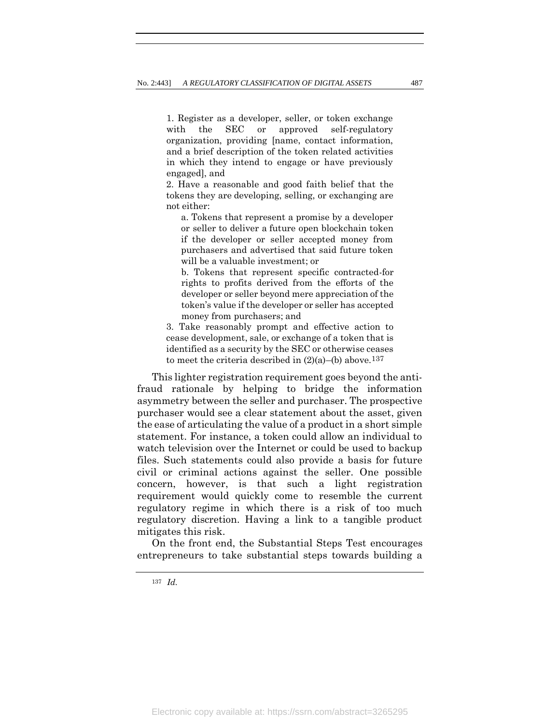1. Register as a developer, seller, or token exchange with the SEC or approved self-regulatory organization, providing [name, contact information, and a brief description of the token related activities in which they intend to engage or have previously engaged], and

2. Have a reasonable and good faith belief that the tokens they are developing, selling, or exchanging are not either:

a. Tokens that represent a promise by a developer or seller to deliver a future open blockchain token if the developer or seller accepted money from purchasers and advertised that said future token will be a valuable investment; or

b. Tokens that represent specific contracted-for rights to profits derived from the efforts of the developer or seller beyond mere appreciation of the token's value if the developer or seller has accepted money from purchasers; and

3. Take reasonably prompt and effective action to cease development, sale, or exchange of a token that is identified as a security by the SEC or otherwise ceases to meet the criteria described in  $(2)(a)$ –(b) above.<sup>137</sup>

This lighter registration requirement goes beyond the antifraud rationale by helping to bridge the information asymmetry between the seller and purchaser. The prospective purchaser would see a clear statement about the asset, given the ease of articulating the value of a product in a short simple statement. For instance, a token could allow an individual to watch television over the Internet or could be used to backup files. Such statements could also provide a basis for future civil or criminal actions against the seller. One possible concern, however, is that such a light registration requirement would quickly come to resemble the current regulatory regime in which there is a risk of too much regulatory discretion. Having a link to a tangible product mitigates this risk.

On the front end, the Substantial Steps Test encourages entrepreneurs to take substantial steps towards building a

137 *Id.*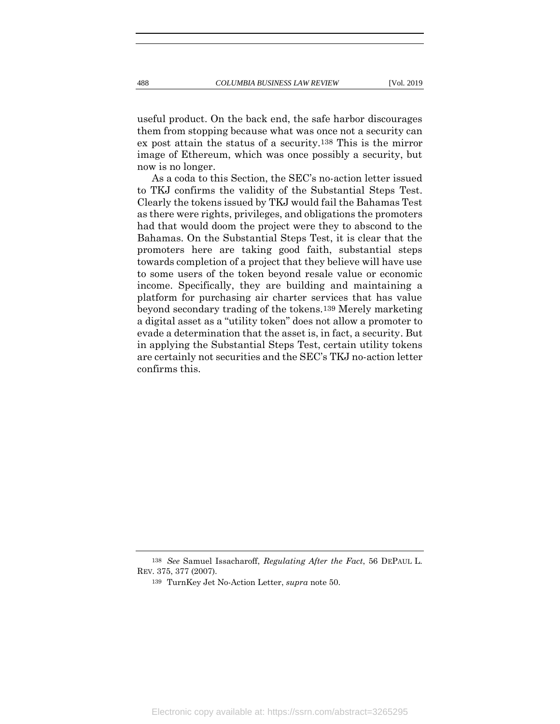useful product. On the back end, the safe harbor discourages them from stopping because what was once not a security can ex post attain the status of a security.138 This is the mirror image of Ethereum, which was once possibly a security, but now is no longer.

As a coda to this Section, the SEC's no-action letter issued to TKJ confirms the validity of the Substantial Steps Test. Clearly the tokens issued by TKJ would fail the Bahamas Test as there were rights, privileges, and obligations the promoters had that would doom the project were they to abscond to the Bahamas. On the Substantial Steps Test, it is clear that the promoters here are taking good faith, substantial steps towards completion of a project that they believe will have use to some users of the token beyond resale value or economic income. Specifically, they are building and maintaining a platform for purchasing air charter services that has value beyond secondary trading of the tokens.139 Merely marketing a digital asset as a "utility token" does not allow a promoter to evade a determination that the asset is, in fact, a security. But in applying the Substantial Steps Test, certain utility tokens are certainly not securities and the SEC's TKJ no-action letter confirms this.

<sup>138</sup> *See* Samuel Issacharoff, *Regulating After the Fact*, 56 DEPAUL L. REV. 375, 377 (2007).

<sup>139</sup> TurnKey Jet No-Action Letter, *supra* note [50.](#page-15-0)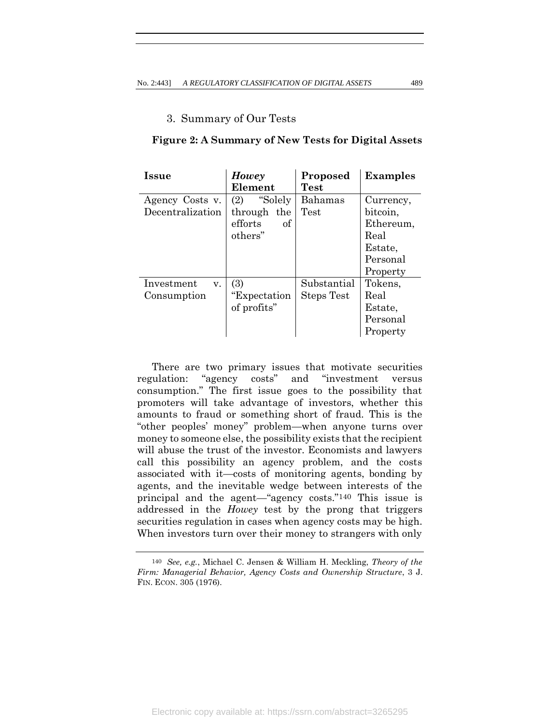# 3. Summary of Our Tests

#### **Issue** *Howey* **Element Proposed Test Examples** Agency Costs v. Decentralization (2) "Solely through the efforts of others" Bahamas Test Currency, bitcoin, Ethereum, Real Estate, Personal Property Investment v. Consumption (3) "Expectation of profits" Substantial Steps Test Tokens, Real Estate, Personal Property

**Figure 2: A Summary of New Tests for Digital Assets**

There are two primary issues that motivate securities regulation: "agency costs" and "investment versus consumption." The first issue goes to the possibility that promoters will take advantage of investors, whether this amounts to fraud or something short of fraud. This is the "other peoples' money" problem—when anyone turns over money to someone else, the possibility exists that the recipient will abuse the trust of the investor. Economists and lawyers call this possibility an agency problem, and the costs associated with it—costs of monitoring agents, bonding by agents, and the inevitable wedge between interests of the principal and the agent—"agency costs."140 This issue is addressed in the *Howey* test by the prong that triggers securities regulation in cases when agency costs may be high. When investors turn over their money to strangers with only

<sup>140</sup> *See, e.g.*, Michael C. Jensen & William H. Meckling, *Theory of the Firm: Managerial Behavior, Agency Costs and Ownership Structure*, 3 J. FIN. ECON. 305 (1976).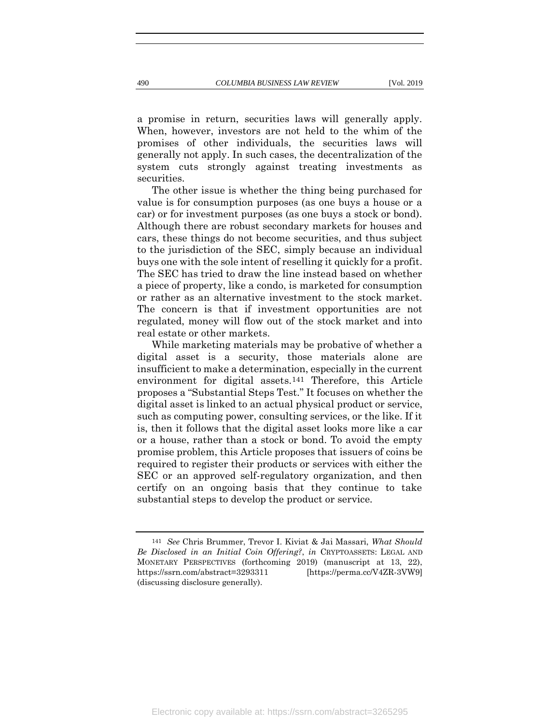a promise in return, securities laws will generally apply. When, however, investors are not held to the whim of the promises of other individuals, the securities laws will generally not apply. In such cases, the decentralization of the system cuts strongly against treating investments as securities.

The other issue is whether the thing being purchased for value is for consumption purposes (as one buys a house or a car) or for investment purposes (as one buys a stock or bond). Although there are robust secondary markets for houses and cars, these things do not become securities, and thus subject to the jurisdiction of the SEC, simply because an individual buys one with the sole intent of reselling it quickly for a profit. The SEC has tried to draw the line instead based on whether a piece of property, like a condo, is marketed for consumption or rather as an alternative investment to the stock market. The concern is that if investment opportunities are not regulated, money will flow out of the stock market and into real estate or other markets.

While marketing materials may be probative of whether a digital asset is a security, those materials alone are insufficient to make a determination, especially in the current environment for digital assets.141 Therefore, this Article proposes a "Substantial Steps Test." It focuses on whether the digital asset is linked to an actual physical product or service, such as computing power, consulting services, or the like. If it is, then it follows that the digital asset looks more like a car or a house, rather than a stock or bond. To avoid the empty promise problem, this Article proposes that issuers of coins be required to register their products or services with either the SEC or an approved self-regulatory organization, and then certify on an ongoing basis that they continue to take substantial steps to develop the product or service.

<sup>141</sup> *See* Chris Brummer, Trevor I. Kiviat & Jai Massari, *What Should Be Disclosed in an Initial Coin Offering?*, *in* CRYPTOASSETS: LEGAL AND MONETARY PERSPECTIVES (forthcoming 2019) (manuscript at 13, 22), https://ssrn.com/abstract=3293311 [https://perma.cc/V4ZR-3VW9] (discussing disclosure generally).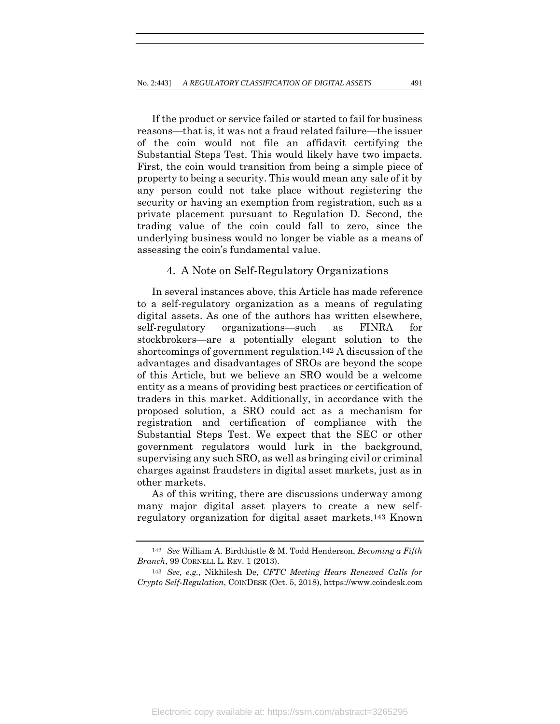If the product or service failed or started to fail for business reasons—that is, it was not a fraud related failure—the issuer of the coin would not file an affidavit certifying the Substantial Steps Test. This would likely have two impacts. First, the coin would transition from being a simple piece of property to being a security. This would mean any sale of it by any person could not take place without registering the security or having an exemption from registration, such as a private placement pursuant to Regulation D. Second, the trading value of the coin could fall to zero, since the underlying business would no longer be viable as a means of assessing the coin's fundamental value.

# 4. A Note on Self-Regulatory Organizations

In several instances above, this Article has made reference to a self-regulatory organization as a means of regulating digital assets. As one of the authors has written elsewhere, self-regulatory organizations—such as FINRA for stockbrokers—are a potentially elegant solution to the shortcomings of government regulation.142 A discussion of the advantages and disadvantages of SROs are beyond the scope of this Article, but we believe an SRO would be a welcome entity as a means of providing best practices or certification of traders in this market. Additionally, in accordance with the proposed solution, a SRO could act as a mechanism for registration and certification of compliance with the Substantial Steps Test. We expect that the SEC or other government regulators would lurk in the background, supervising any such SRO, as well as bringing civil or criminal charges against fraudsters in digital asset markets, just as in other markets.

As of this writing, there are discussions underway among many major digital asset players to create a new selfregulatory organization for digital asset markets.143 Known

<sup>142</sup> *See* William A. Birdthistle & M. Todd Henderson, *Becoming a Fifth Branch*, 99 CORNELL L. REV. 1 (2013).

<sup>143</sup> *See, e.g.*, Nikhilesh De, *CFTC Meeting Hears Renewed Calls for Crypto Self-Regulation*, COINDESK (Oct. 5, 2018), https://www.coindesk.com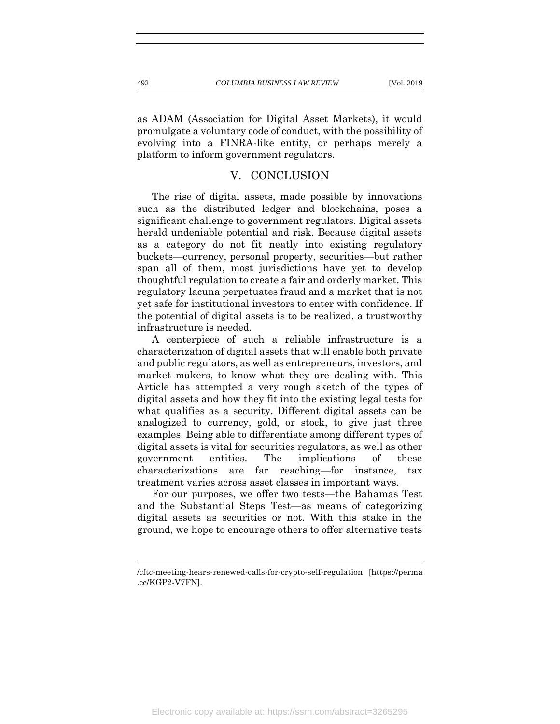as ADAM (Association for Digital Asset Markets), it would promulgate a voluntary code of conduct, with the possibility of evolving into a FINRA-like entity, or perhaps merely a platform to inform government regulators.

# V. CONCLUSION

The rise of digital assets, made possible by innovations such as the distributed ledger and blockchains, poses a significant challenge to government regulators. Digital assets herald undeniable potential and risk. Because digital assets as a category do not fit neatly into existing regulatory buckets—currency, personal property, securities—but rather span all of them, most jurisdictions have yet to develop thoughtful regulation to create a fair and orderly market. This regulatory lacuna perpetuates fraud and a market that is not yet safe for institutional investors to enter with confidence. If the potential of digital assets is to be realized, a trustworthy infrastructure is needed.

A centerpiece of such a reliable infrastructure is a characterization of digital assets that will enable both private and public regulators, as well as entrepreneurs, investors, and market makers, to know what they are dealing with. This Article has attempted a very rough sketch of the types of digital assets and how they fit into the existing legal tests for what qualifies as a security. Different digital assets can be analogized to currency, gold, or stock, to give just three examples. Being able to differentiate among different types of digital assets is vital for securities regulators, as well as other government entities. The implications of these characterizations are far reaching—for instance, tax treatment varies across asset classes in important ways.

For our purposes, we offer two tests—the Bahamas Test and the Substantial Steps Test—as means of categorizing digital assets as securities or not. With this stake in the ground, we hope to encourage others to offer alternative tests

<sup>/</sup>cftc-meeting-hears-renewed-calls-for-crypto-self-regulation [https://perma .cc/KGP2-V7FN].